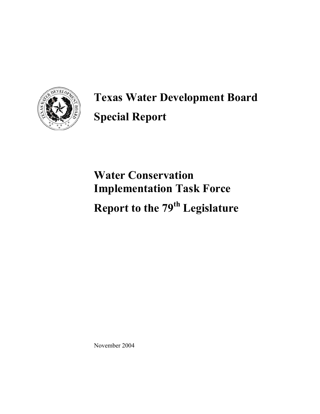

**Texas Water Development Board Special Report** 

# **Water Conservation Implementation Task Force Report to the 79<sup>th</sup> Legislature**

November 2004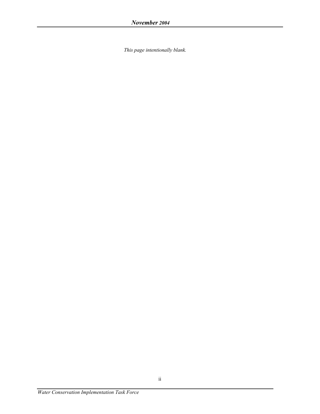*This page intentionally blank.*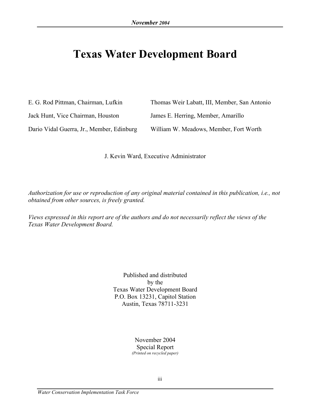## **Texas Water Development Board**

Jack Hunt, Vice Chairman, Houston James E. Herring, Member, Amarillo

Dario Vidal Guerra, Jr., Member, Edinburg William W. Meadows, Member, Fort Worth

E. G. Rod Pittman, Chairman, Lufkin Thomas Weir Labatt, III, Member, San Antonio

J. Kevin Ward, Executive Administrator

*Authorization for use or reproduction of any original material contained in this publication, i.e., not obtained from other sources, is freely granted.* 

*Views expressed in this report are of the authors and do not necessarily reflect the views of the Texas Water Development Board.* 

> Published and distributed by the Texas Water Development Board P.O. Box 13231, Capitol Station Austin, Texas 78711-3231

> > November 2004 Special Report *(Printed on recycled paper)*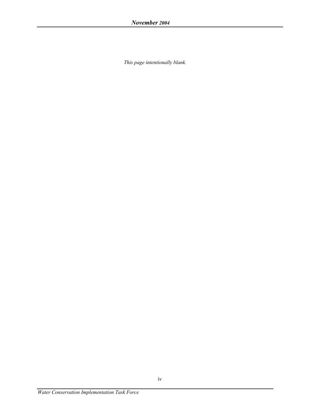*This page intentionally blank.*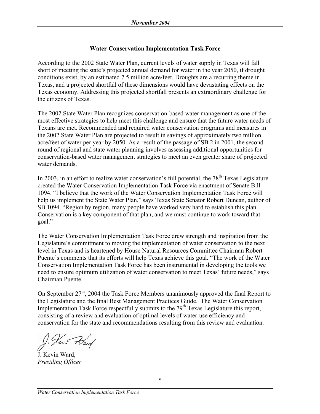#### **Water Conservation Implementation Task Force**

According to the 2002 State Water Plan, current levels of water supply in Texas will fall short of meeting the state's projected annual demand for water in the year 2050, if drought conditions exist, by an estimated 7.5 million acre/feet. Droughts are a recurring theme in Texas, and a projected shortfall of these dimensions would have devastating effects on the Texas economy. Addressing this projected shortfall presents an extraordinary challenge for the citizens of Texas.

The 2002 State Water Plan recognizes conservation-based water management as one of the most effective strategies to help meet this challenge and ensure that the future water needs of Texans are met. Recommended and required water conservation programs and measures in the 2002 State Water Plan are projected to result in savings of approximately two million acre/feet of water per year by 2050. As a result of the passage of SB 2 in 2001, the second round of regional and state water planning involves assessing additional opportunities for conservation-based water management strategies to meet an even greater share of projected water demands.

In 2003, in an effort to realize water conservation's full potential, the  $78<sup>th</sup>$  Texas Legislature created the Water Conservation Implementation Task Force via enactment of Senate Bill 1094. "I believe that the work of the Water Conservation Implementation Task Force will help us implement the State Water Plan," says Texas State Senator Robert Duncan, author of SB 1094. "Region by region, many people have worked very hard to establish this plan. Conservation is a key component of that plan, and we must continue to work toward that goal."

The Water Conservation Implementation Task Force drew strength and inspiration from the Legislature's commitment to moving the implementation of water conservation to the next level in Texas and is heartened by House Natural Resources Committee Chairman Robert Puente's comments that its efforts will help Texas achieve this goal. "The work of the Water Conservation Implementation Task Force has been instrumental in developing the tools we need to ensure optimum utilization of water conservation to meet Texas' future needs," says Chairman Puente.

On September  $27<sup>th</sup>$ , 2004 the Task Force Members unanimously approved the final Report to the Legislature and the final Best Management Practices Guide. The Water Conservation Implementation Task Force respectfully submits to the  $79<sup>th</sup>$  Texas Legislature this report, consisting of a review and evaluation of optimal levels of water-use efficiency and conservation for the state and recommendations resulting from this review and evaluation.

J. Kevin Ward, *Presiding Officer*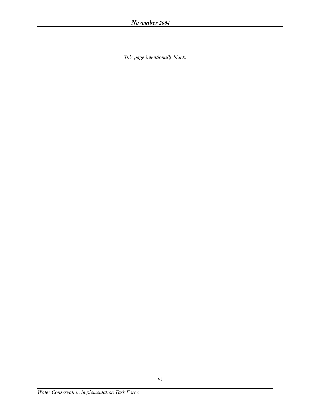*This page intentionally blank.*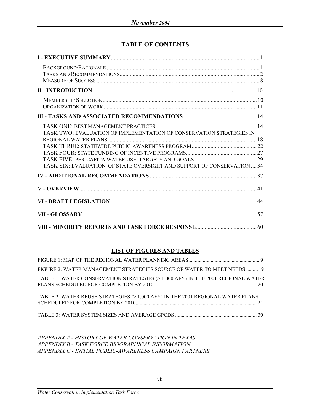## **TABLE OF CONTENTS**

| TASK TWO: EVALUATION OF IMPLEMENTATION OF CONSERVATION STRATEGIES IN   |  |
|------------------------------------------------------------------------|--|
|                                                                        |  |
| TASK SIX: EVALUATION OF STATE OVERSIGHT AND SUPPORT OF CONSERVATION 34 |  |
|                                                                        |  |
|                                                                        |  |
|                                                                        |  |
|                                                                        |  |
|                                                                        |  |

## **LIST OF FIGURES AND TABLES**

| FIGURE 2: WATER MANAGEMENT STRATEGIES SOURCE OF WATER TO MEET NEEDS  19         |  |
|---------------------------------------------------------------------------------|--|
| TABLE 1: WATER CONSERVATION STRATEGIES (> 1,000 AFY) IN THE 2001 REGIONAL WATER |  |
| TABLE 2: WATER REUSE STRATEGIES (> 1,000 AFY) IN THE 2001 REGIONAL WATER PLANS  |  |
|                                                                                 |  |

*APPENDIX A - HISTORY OF WATER CONSERVATION IN TEXAS APPENDIX B - TASK FORCE BIOGRAPHICAL INFORMATION APPENDIX C - INITIAL PUBLIC-AWARENESS CAMPAIGN PARTNERS*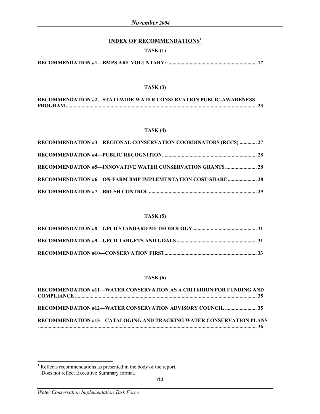#### **INDEX OF RECOMMENDATIONS<sup>1</sup>**

#### **TASK (1)**

**RECOMMENDATION #1—BMPS ARE VOLUNTARY: .................................................................... 17** 

#### **TASK (3)**

| <b>RECOMMENDATION #2—STATEWIDE WATER CONSERVATION PUBLIC-AWARENESS</b> |
|------------------------------------------------------------------------|
|                                                                        |

#### **TASK (4)**

| RECOMMENDATION #3-REGIONAL CONSERVATION COORDINATORS (RCCS)  27 |  |
|-----------------------------------------------------------------|--|
|                                                                 |  |
| RECOMMENDATION #5-INNOVATIVE WATER CONSERVATION GRANTS 28       |  |
| RECOMMENDATION #6-ON-FARM BMP IMPLEMENTATION COST-SHARE  28     |  |
|                                                                 |  |

#### **TASK (5)**

#### **TASK (6)**

| <b>RECOMMENDATION #11-WATER CONSERVATION AS A CRITERION FOR FUNDING AND</b> |  |
|-----------------------------------------------------------------------------|--|
| RECOMMENDATION #12-WATER CONSERVATION ADVISORY COUNCIL  35                  |  |
| RECOMMENDATION #13-CATALOGING AND TRACKING WATER CONSERVATION PLANS         |  |

<sup>&</sup>lt;sup>1</sup> Reflects recommendations as presented in the body of the report. Does not reflect Executive Summary format.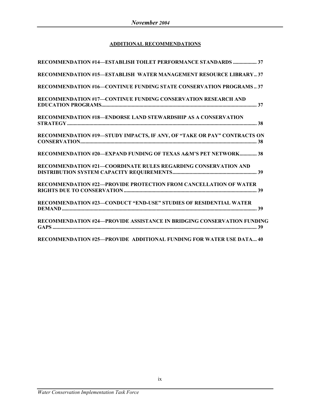#### **ADDITIONAL RECOMMENDATIONS**

| RECOMMENDATION #14-ESTABLISH TOILET PERFORMANCE STANDARDS  37                 |
|-------------------------------------------------------------------------------|
| RECOMMENDATION #15-ESTABLISH WATER MANAGEMENT RESOURCE LIBRARY37              |
| <b>RECOMMENDATION #16-CONTINUE FUNDING STATE CONSERVATION PROGRAMS37</b>      |
| RECOMMENDATION #17-CONTINUE FUNDING CONSERVATION RESEARCH AND                 |
| <b>RECOMMENDATION #18-ENDORSE LAND STEWARDSHIP AS A CONSERVATION</b>          |
| RECOMMENDATION #19-STUDY IMPACTS, IF ANY, OF "TAKE OR PAY" CONTRACTS ON       |
| <b>RECOMMENDATION #20—EXPAND FUNDING OF TEXAS A&amp;M'S PET NETWORK 38</b>    |
| <b>RECOMMENDATION #21-COORDINATE RULES REGARDING CONSERVATION AND</b>         |
| <b>RECOMMENDATION #22-PROVIDE PROTECTION FROM CANCELLATION OF WATER</b>       |
| <b>RECOMMENDATION #23-CONDUCT "END-USE" STUDIES OF RESIDENTIAL WATER</b>      |
| <b>RECOMMENDATION #24-PROVIDE ASSISTANCE IN BRIDGING CONSERVATION FUNDING</b> |
| <b>RECOMMENDATION #25-PROVIDE ADDITIONAL FUNDING FOR WATER USE DATA 40</b>    |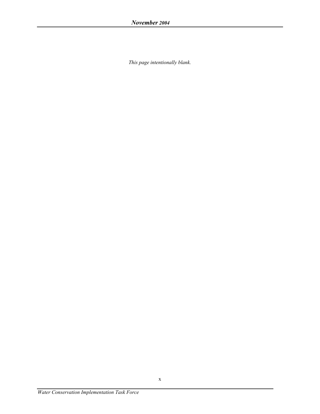*This page intentionally blank.*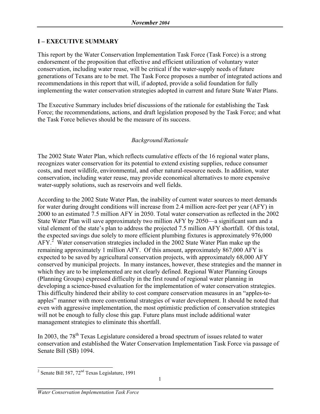## **I – EXECUTIVE SUMMARY**

This report by the Water Conservation Implementation Task Force (Task Force) is a strong endorsement of the proposition that effective and efficient utilization of voluntary water conservation, including water reuse, will be critical if the water-supply needs of future generations of Texans are to be met. The Task Force proposes a number of integrated actions and recommendations in this report that will, if adopted, provide a solid foundation for fully implementing the water conservation strategies adopted in current and future State Water Plans.

The Executive Summary includes brief discussions of the rationale for establishing the Task Force; the recommendations, actions, and draft legislation proposed by the Task Force; and what the Task Force believes should be the measure of its success.

## *Background/Rationale*

The 2002 State Water Plan, which reflects cumulative effects of the 16 regional water plans, recognizes water conservation for its potential to extend existing supplies, reduce consumer costs, and meet wildlife, environmental, and other natural-resource needs. In addition, water conservation, including water reuse, may provide economical alternatives to more expensive water-supply solutions, such as reservoirs and well fields.

According to the 2002 State Water Plan, the inability of current water sources to meet demands for water during drought conditions will increase from 2.4 million acre-feet per year (AFY) in 2000 to an estimated 7.5 million AFY in 2050. Total water conservation as reflected in the 2002 State Water Plan will save approximately two million AFY by 2050—a significant sum and a vital element of the state's plan to address the projected 7.5 million AFY shortfall. Of this total, the expected savings due solely to more efficient plumbing fixtures is approximately 976,000  $AFY.$ <sup>2</sup> Water conservation strategies included in the 2002 State Water Plan make up the remaining approximately 1 million AFY. Of this amount, approximately 867,000 AFY is expected to be saved by agricultural conservation projects, with approximately 68,000 AFY conserved by municipal projects. In many instances, however, these strategies and the manner in which they are to be implemented are not clearly defined. Regional Water Planning Groups (Planning Groups) expressed difficulty in the first round of regional water planning in developing a science-based evaluation for the implementation of water conservation strategies. This difficulty hindered their ability to cost compare conservation measures in an "apples-toapples" manner with more conventional strategies of water development. It should be noted that even with aggressive implementation, the most optimistic prediction of conservation strategies will not be enough to fully close this gap. Future plans must include additional water management strategies to eliminate this shortfall.

In 2003, the  $78<sup>th</sup>$  Texas Legislature considered a broad spectrum of issues related to water conservation and established the Water Conservation Implementation Task Force via passage of Senate Bill (SB) 1094.

<sup>&</sup>lt;sup>2</sup> Senate Bill 587, 72<sup>nd</sup> Texas Legislature, 1991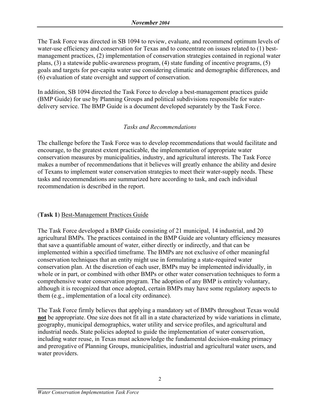The Task Force was directed in SB 1094 to review, evaluate, and recommend optimum levels of water-use efficiency and conservation for Texas and to concentrate on issues related to (1) bestmanagement practices, (2) implementation of conservation strategies contained in regional water plans, (3) a statewide public-awareness program, (4) state funding of incentive programs, (5) goals and targets for per-capita water use considering climatic and demographic differences, and (6) evaluation of state oversight and support of conservation.

In addition, SB 1094 directed the Task Force to develop a best-management practices guide (BMP Guide) for use by Planning Groups and political subdivisions responsible for waterdelivery service. The BMP Guide is a document developed separately by the Task Force.

#### *Tasks and Recommendations*

The challenge before the Task Force was to develop recommendations that would facilitate and encourage, to the greatest extent practicable, the implementation of appropriate water conservation measures by municipalities, industry, and agricultural interests. The Task Force makes a number of recommendations that it believes will greatly enhance the ability and desire of Texans to implement water conservation strategies to meet their water-supply needs. These tasks and recommendations are summarized here according to task, and each individual recommendation is described in the report.

## (**Task 1**) Best-Management Practices Guide

The Task Force developed a BMP Guide consisting of 21 municipal, 14 industrial, and 20 agricultural BMPs. The practices contained in the BMP Guide are voluntary efficiency measures that save a quantifiable amount of water, either directly or indirectly, and that can be implemented within a specified timeframe. The BMPs are not exclusive of other meaningful conservation techniques that an entity might use in formulating a state-required water conservation plan. At the discretion of each user, BMPs may be implemented individually, in whole or in part, or combined with other BMPs or other water conservation techniques to form a comprehensive water conservation program. The adoption of any BMP is entirely voluntary, although it is recognized that once adopted, certain BMPs may have some regulatory aspects to them (e.g., implementation of a local city ordinance).

The Task Force firmly believes that applying a mandatory set of BMPs throughout Texas would **not** be appropriate. One size does not fit all in a state characterized by wide variations in climate, geography, municipal demographics, water utility and service profiles, and agricultural and industrial needs. State policies adopted to guide the implementation of water conservation, including water reuse, in Texas must acknowledge the fundamental decision-making primacy and prerogative of Planning Groups, municipalities, industrial and agricultural water users, and water providers.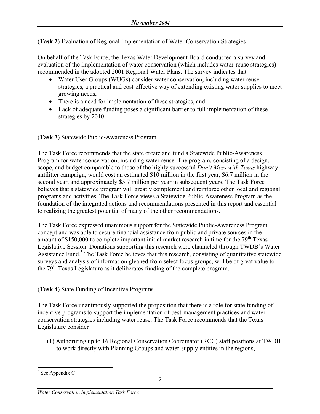## (**Task 2**) Evaluation of Regional Implementation of Water Conservation Strategies

On behalf of the Task Force, the Texas Water Development Board conducted a survey and evaluation of the implementation of water conservation (which includes water-reuse strategies) recommended in the adopted 2001 Regional Water Plans. The survey indicates that

- Water User Groups (WUGs) consider water conservation, including water reuse strategies, a practical and cost-effective way of extending existing water supplies to meet growing needs,
- There is a need for implementation of these strategies, and
- Lack of adequate funding poses a significant barrier to full implementation of these strategies by 2010.

## (**Task 3**) Statewide Public-Awareness Program

The Task Force recommends that the state create and fund a Statewide Public-Awareness Program for water conservation, including water reuse. The program, consisting of a design, scope, and budget comparable to those of the highly successful *Don't Mess with Texas* highway antilitter campaign, would cost an estimated \$10 million in the first year, \$6.7 million in the second year, and approximately \$5.7 million per year in subsequent years. The Task Force believes that a statewide program will greatly complement and reinforce other local and regional programs and activities. The Task Force views a Statewide Public-Awareness Program as the foundation of the integrated actions and recommendations presented in this report and essential to realizing the greatest potential of many of the other recommendations.

The Task Force expressed unanimous support for the Statewide Public-Awareness Program concept and was able to secure financial assistance from public and private sources in the amount of \$150,000 to complete important initial market research in time for the  $79<sup>th</sup>$  Texas Legislative Session. Donations supporting this research were channeled through TWDB's Water Assistance Fund.<sup>3</sup> The Task Force believes that this research, consisting of quantitative statewide surveys and analysis of information gleaned from select focus groups, will be of great value to the  $79<sup>th</sup>$  Texas Legislature as it deliberates funding of the complete program.

## (**Task 4**) State Funding of Incentive Programs

The Task Force unanimously supported the proposition that there is a role for state funding of incentive programs to support the implementation of best-management practices and water conservation strategies including water reuse. The Task Force recommends that the Texas Legislature consider

(1) Authorizing up to 16 Regional Conservation Coordinator (RCC) staff positions at TWDB to work directly with Planning Groups and water-supply entities in the regions,

 $3$  See Appendix C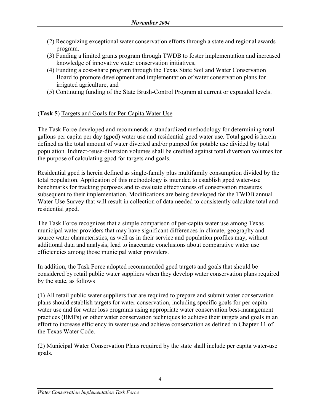- (2) Recognizing exceptional water conservation efforts through a state and regional awards program,
- (3) Funding a limited grants program through TWDB to foster implementation and increased knowledge of innovative water conservation initiatives,
- (4) Funding a cost-share program through the Texas State Soil and Water Conservation Board to promote development and implementation of water conservation plans for irrigated agriculture, and
- (5) Continuing funding of the State Brush-Control Program at current or expanded levels.

## (**Task 5**) Targets and Goals for Per-Capita Water Use

The Task Force developed and recommends a standardized methodology for determining total gallons per capita per day (gpcd) water use and residential gpcd water use. Total gpcd is herein defined as the total amount of water diverted and/or pumped for potable use divided by total population. Indirect-reuse-diversion volumes shall be credited against total diversion volumes for the purpose of calculating gpcd for targets and goals.

Residential gpcd is herein defined as single-family plus multifamily consumption divided by the total population. Application of this methodology is intended to establish gpcd water-use benchmarks for tracking purposes and to evaluate effectiveness of conservation measures subsequent to their implementation. Modifications are being developed for the TWDB annual Water-Use Survey that will result in collection of data needed to consistently calculate total and residential gpcd.

The Task Force recognizes that a simple comparison of per-capita water use among Texas municipal water providers that may have significant differences in climate, geography and source water characteristics, as well as in their service and population profiles may, without additional data and analysis, lead to inaccurate conclusions about comparative water use efficiencies among those municipal water providers.

In addition, the Task Force adopted recommended gpcd targets and goals that should be considered by retail public water suppliers when they develop water conservation plans required by the state, as follows

(1) All retail public water suppliers that are required to prepare and submit water conservation plans should establish targets for water conservation, including specific goals for per-capita water use and for water loss programs using appropriate water conservation best-management practices (BMPs) or other water conservation techniques to achieve their targets and goals in an effort to increase efficiency in water use and achieve conservation as defined in Chapter 11 of the Texas Water Code.

(2) Municipal Water Conservation Plans required by the state shall include per capita water-use goals.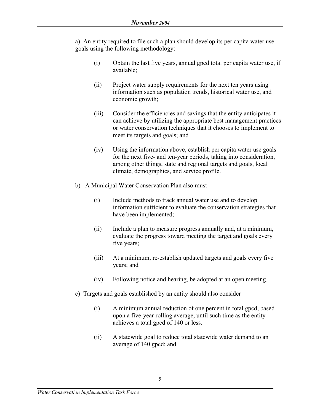a) An entity required to file such a plan should develop its per capita water use goals using the following methodology:

- (i) Obtain the last five years, annual gpcd total per capita water use, if available;
- (ii) Project water supply requirements for the next ten years using information such as population trends, historical water use, and economic growth;
- (iii) Consider the efficiencies and savings that the entity anticipates it can achieve by utilizing the appropriate best management practices or water conservation techniques that it chooses to implement to meet its targets and goals; and
- (iv) Using the information above, establish per capita water use goals for the next five- and ten-year periods, taking into consideration, among other things, state and regional targets and goals, local climate, demographics, and service profile.
- b) A Municipal Water Conservation Plan also must
	- (i) Include methods to track annual water use and to develop information sufficient to evaluate the conservation strategies that have been implemented;
	- (ii) Include a plan to measure progress annually and, at a minimum, evaluate the progress toward meeting the target and goals every five years;
	- (iii) At a minimum, re-establish updated targets and goals every five years; and
	- (iv) Following notice and hearing, be adopted at an open meeting.
- c) Targets and goals established by an entity should also consider
	- (i) A minimum annual reduction of one percent in total gpcd, based upon a five-year rolling average, until such time as the entity achieves a total gpcd of 140 or less.
	- (ii) A statewide goal to reduce total statewide water demand to an average of 140 gpcd; and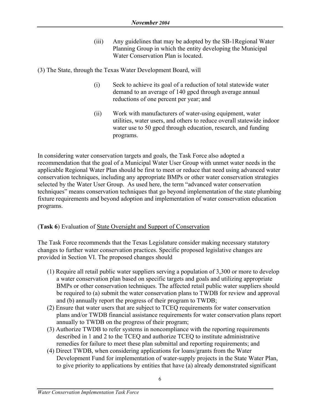(iii) Any guidelines that may be adopted by the SB-1Regional Water Planning Group in which the entity developing the Municipal Water Conservation Plan is located.

(3) The State, through the Texas Water Development Board, will

- (i) Seek to achieve its goal of a reduction of total statewide water demand to an average of 140 gpcd through average annual reductions of one percent per year; and
- (ii) Work with manufacturers of water-using equipment, water utilities, water users, and others to reduce overall statewide indoor water use to 50 gpcd through education, research, and funding programs.

In considering water conservation targets and goals, the Task Force also adopted a recommendation that the goal of a Municipal Water User Group with unmet water needs in the applicable Regional Water Plan should be first to meet or reduce that need using advanced water conservation techniques, including any appropriate BMPs or other water conservation strategies selected by the Water User Group. As used here, the term "advanced water conservation techniques" means conservation techniques that go beyond implementation of the state plumbing fixture requirements and beyond adoption and implementation of water conservation education programs.

#### (**Task 6**) Evaluation of State Oversight and Support of Conservation

The Task Force recommends that the Texas Legislature consider making necessary statutory changes to further water conservation practices. Specific proposed legislative changes are provided in Section VI. The proposed changes should

- (1) Require all retail public water suppliers serving a population of 3,300 or more to develop a water conservation plan based on specific targets and goals and utilizing appropriate BMPs or other conservation techniques. The affected retail public water suppliers should be required to (a) submit the water conservation plans to TWDB for review and approval and (b) annually report the progress of their program to TWDB;
- (2) Ensure that water users that are subject to TCEQ requirements for water conservation plans and/or TWDB financial assistance requirements for water conservation plans report annually to TWDB on the progress of their program;
- (3) Authorize TWDB to refer systems in noncompliance with the reporting requirements described in 1 and 2 to the TCEQ and authorize TCEQ to institute administrative remedies for failure to meet these plan submittal and reporting requirements; and
- (4) Direct TWDB, when considering applications for loans/grants from the Water Development Fund for implementation of water-supply projects in the State Water Plan, to give priority to applications by entities that have (a) already demonstrated significant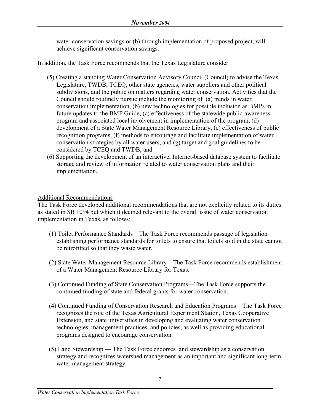water conservation savings or (b) through implementation of proposed project, will achieve significant conservation savings.

In addition, the Task Force recommends that the Texas Legislature consider

- (5) Creating a standing Water Conservation Advisory Council (Council) to advise the Texas Legislature, TWDB, TCEQ, other state agencies, water suppliers and other political subdivisions, and the public on matters regarding water conservation. Activities that the Council should routinely pursue include the monitoring of (a) trends in water conservation implementation, (b) new technologies for possible inclusion as BMPs in future updates to the BMP Guide, (c) effectiveness of the statewide public-awareness program and associated local involvement in implementation of the program, (d) development of a State Water Management Resource Library, (e) effectiveness of public recognition programs, (f) methods to encourage and facilitate implementation of water conservation strategies by all water users, and (g) target and goal guidelines to be considered by TCEQ and TWDB; and
- (6) Supporting the development of an interactive, Internet-based database system to facilitate storage and review of information related to water conservation plans and their implementation.

#### Additional Recommendations

The Task Force developed additional recommendations that are not explicitly related to its duties as stated in SB 1094 but which it deemed relevant to the overall issue of water conservation implementation in Texas, as follows:

- (1) Toilet Performance Standards—The Task Force recommends passage of legislation establishing performance standards for toilets to ensure that toilets sold in the state cannot be retrofitted so that they waste water.
- (2) State Water Management Resource Library—The Task Force recommends establishment of a Water Management Resource Library for Texas.
- (3) Continued Funding of State Conservation Programs—The Task Force supports the continued funding of state and federal grants for water conservation.
- (4) Continued Funding of Conservation Research and Education Programs—The Task Force recognizes the role of the Texas Agricultural Experiment Station, Texas Cooperative Extension, and state universities in developing and evaluating water conservation technologies, management practices, and policies, as well as providing educational programs designed to encourage conservation.
- (5) Land Stewardship The Task Force endorses land stewardship as a conservation strategy and recognizes watershed management as an important and significant long-term water management strategy.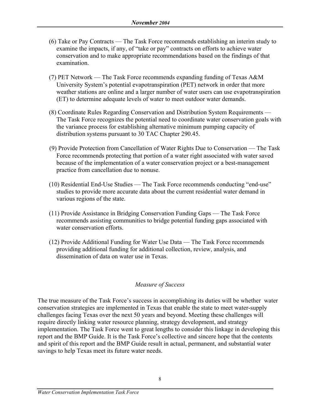- (6) Take or Pay Contracts The Task Force recommends establishing an interim study to examine the impacts, if any, of "take or pay" contracts on efforts to achieve water conservation and to make appropriate recommendations based on the findings of that examination.
- (7) PET Network The Task Force recommends expanding funding of Texas A&M University System's potential evapotranspiration (PET) network in order that more weather stations are online and a larger number of water users can use evapotranspiration (ET) to determine adequate levels of water to meet outdoor water demands.
- (8) Coordinate Rules Regarding Conservation and Distribution System Requirements The Task Force recognizes the potential need to coordinate water conservation goals with the variance process for establishing alternative minimum pumping capacity of distribution systems pursuant to 30 TAC Chapter 290.45.
- (9) Provide Protection from Cancellation of Water Rights Due to Conservation The Task Force recommends protecting that portion of a water right associated with water saved because of the implementation of a water conservation project or a best-management practice from cancellation due to nonuse.
- (10) Residential End-Use Studies The Task Force recommends conducting "end-use" studies to provide more accurate data about the current residential water demand in various regions of the state.
- (11) Provide Assistance in Bridging Conservation Funding Gaps The Task Force recommends assisting communities to bridge potential funding gaps associated with water conservation efforts.
- (12) Provide Additional Funding for Water Use Data The Task Force recommends providing additional funding for additional collection, review, analysis, and dissemination of data on water use in Texas.

## *Measure of Success*

The true measure of the Task Force's success in accomplishing its duties will be whether water conservation strategies are implemented in Texas that enable the state to meet water-supply challenges facing Texas over the next 50 years and beyond. Meeting these challenges will require directly linking water resource planning, strategy development, and strategy implementation. The Task Force went to great lengths to consider this linkage in developing this report and the BMP Guide. It is the Task Force's collective and sincere hope that the contents and spirit of this report and the BMP Guide result in actual, permanent, and substantial water savings to help Texas meet its future water needs.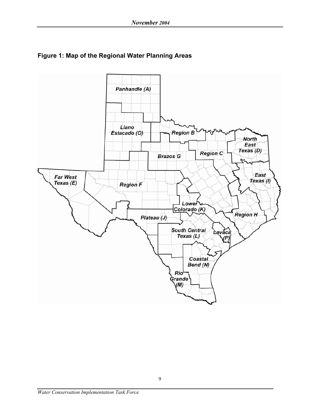

## **Figure 1: Map of the Regional Water Planning Areas**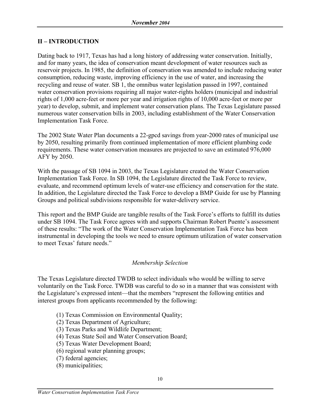#### **II – INTRODUCTION**

Dating back to 1917, Texas has had a long history of addressing water conservation. Initially, and for many years, the idea of conservation meant development of water resources such as reservoir projects. In 1985, the definition of conservation was amended to include reducing water consumption, reducing waste, improving efficiency in the use of water, and increasing the recycling and reuse of water. SB 1, the omnibus water legislation passed in 1997, contained water conservation provisions requiring all major water-rights holders (municipal and industrial rights of 1,000 acre-feet or more per year and irrigation rights of 10,000 acre-feet or more per year) to develop, submit, and implement water conservation plans. The Texas Legislature passed numerous water conservation bills in 2003, including establishment of the Water Conservation Implementation Task Force.

The 2002 State Water Plan documents a 22-gpcd savings from year-2000 rates of municipal use by 2050, resulting primarily from continued implementation of more efficient plumbing code requirements. These water conservation measures are projected to save an estimated 976,000 AFY by 2050.

With the passage of SB 1094 in 2003, the Texas Legislature created the Water Conservation Implementation Task Force. In SB 1094, the Legislature directed the Task Force to review, evaluate, and recommend optimum levels of water-use efficiency and conservation for the state. In addition, the Legislature directed the Task Force to develop a BMP Guide for use by Planning Groups and political subdivisions responsible for water-delivery service.

This report and the BMP Guide are tangible results of the Task Force's efforts to fulfill its duties under SB 1094. The Task Force agrees with and supports Chairman Robert Puente's assessment of these results: "The work of the Water Conservation Implementation Task Force has been instrumental in developing the tools we need to ensure optimum utilization of water conservation to meet Texas' future needs."

#### *Membership Selection*

The Texas Legislature directed TWDB to select individuals who would be willing to serve voluntarily on the Task Force. TWDB was careful to do so in a manner that was consistent with the Legislature's expressed intent—that the members "represent the following entities and interest groups from applicants recommended by the following:

- (1) Texas Commission on Environmental Quality;
- (2) Texas Department of Agriculture;
- (3) Texas Parks and Wildlife Department;
- (4) Texas State Soil and Water Conservation Board;
- (5) Texas Water Development Board;
- (6) regional water planning groups;
- (7) federal agencies;
- (8) municipalities;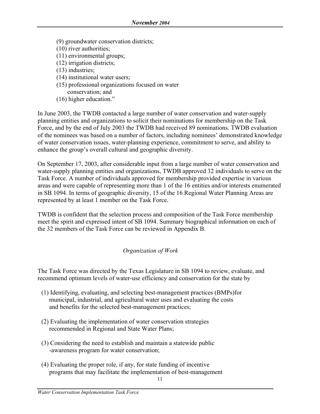- (9) groundwater conservation districts;
- (10) river authorities;
- (11) environmental groups;
- (12) irrigation districts;
- (13) industries;
- (14) institutional water users;
- (15) professional organizations focused on water conservation; and
- (16) higher education."

In June 2003, the TWDB contacted a large number of water conservation and water-supply planning entities and organizations to solicit their nominations for membership on the Task Force, and by the end of July 2003 the TWDB had received 89 nominations. TWDB evaluation of the nominees was based on a number of factors, including nominees' demonstrated knowledge of water conservation issues, water-planning experience, commitment to serve, and ability to enhance the group's overall cultural and geographic diversity.

On September 17, 2003, after considerable input from a large number of water conservation and water-supply planning entities and organizations, TWDB approved 32 individuals to serve on the Task Force. A number of individuals approved for membership provided expertise in various areas and were capable of representing more than 1 of the 16 entities and/or interests enumerated in SB 1094. In terms of geographic diversity, 15 of the 16 Regional Water Planning Areas are represented by at least 1 member on the Task Force.

TWDB is confident that the selection process and composition of the Task Force membership meet the spirit and expressed intent of SB 1094. Summary biographical information on each of the 32 members of the Task Force can be reviewed in Appendix B.

#### *Organization of Work*

The Task Force was directed by the Texas Legislature in SB 1094 to review, evaluate, and recommend optimum levels of water-use efficiency and conservation for the state by

- (1) Identifying, evaluating, and selecting best-management practices (BMPs)for municipal, industrial, and agricultural water uses and evaluating the costs and benefits for the selected best-management practices;
- (2) Evaluating the implementation of water conservation strategies recommended in Regional and State Water Plans;
- (3) Considering the need to establish and maintain a statewide public -awareness program for water conservation;
- (4) Evaluating the proper role, if any, for state funding of incentive programs that may facilitate the implementation of best-management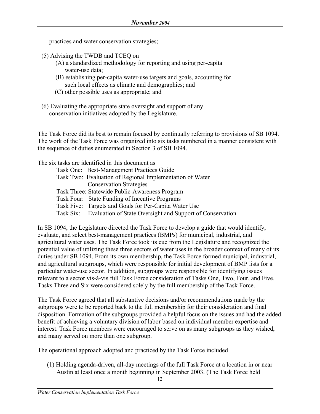practices and water conservation strategies;

- (5) Advising the TWDB and TCEQ on
	- (A) a standardized methodology for reporting and using per-capita water-use data;
	- (B) establishing per-capita water-use targets and goals, accounting for such local effects as climate and demographics; and
	- (C) other possible uses as appropriate; and
- (6) Evaluating the appropriate state oversight and support of any conservation initiatives adopted by the Legislature.

The Task Force did its best to remain focused by continually referring to provisions of SB 1094. The work of the Task Force was organized into six tasks numbered in a manner consistent with the sequence of duties enumerated in Section 3 of SB 1094.

The six tasks are identified in this document as

| Task One: Best-Management Practices Guide                           |
|---------------------------------------------------------------------|
| Task Two: Evaluation of Regional Implementation of Water            |
| <b>Conservation Strategies</b>                                      |
| Task Three: Statewide Public-Awareness Program                      |
| Task Four: State Funding of Incentive Programs                      |
| Task Five: Targets and Goals for Per-Capita Water Use               |
| Task Six: Evaluation of State Oversight and Support of Conservation |

In SB 1094, the Legislature directed the Task Force to develop a guide that would identify, evaluate, and select best-management practices (BMPs) for municipal, industrial, and agricultural water uses. The Task Force took its cue from the Legislature and recognized the potential value of utilizing these three sectors of water uses in the broader context of many of its duties under SB 1094. From its own membership, the Task Force formed municipal, industrial, and agricultural subgroups, which were responsible for initial development of BMP lists for a particular water-use sector. In addition, subgroups were responsible for identifying issues relevant to a sector vis-à-vis full Task Force consideration of Tasks One, Two, Four, and Five. Tasks Three and Six were considered solely by the full membership of the Task Force.

The Task Force agreed that all substantive decisions and/or recommendations made by the subgroups were to be reported back to the full membership for their consideration and final disposition. Formation of the subgroups provided a helpful focus on the issues and had the added benefit of achieving a voluntary division of labor based on individual member expertise and interest. Task Force members were encouraged to serve on as many subgroups as they wished, and many served on more than one subgroup.

The operational approach adopted and practiced by the Task Force included

(1) Holding agenda-driven, all-day meetings of the full Task Force at a location in or near Austin at least once a month beginning in September 2003. (The Task Force held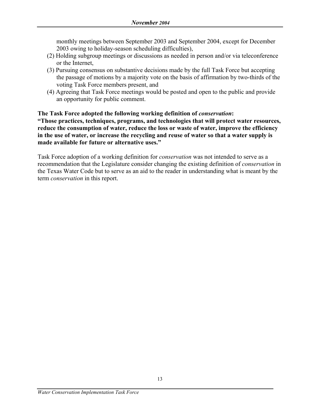monthly meetings between September 2003 and September 2004, except for December 2003 owing to holiday-season scheduling difficulties),

- (2) Holding subgroup meetings or discussions as needed in person and/or via teleconference or the Internet,
- (3) Pursuing consensus on substantive decisions made by the full Task Force but accepting the passage of motions by a majority vote on the basis of affirmation by two-thirds of the voting Task Force members present, and
- (4) Agreeing that Task Force meetings would be posted and open to the public and provide an opportunity for public comment.

#### **The Task Force adopted the following working definition of** *conservation***:**

**"Those practices, techniques, programs, and technologies that will protect water resources, reduce the consumption of water, reduce the loss or waste of water, improve the efficiency in the use of water, or increase the recycling and reuse of water so that a water supply is made available for future or alternative uses."** 

Task Force adoption of a working definition for *conservation* was not intended to serve as a recommendation that the Legislature consider changing the existing definition of *conservation* in the Texas Water Code but to serve as an aid to the reader in understanding what is meant by the term *conservation* in this report.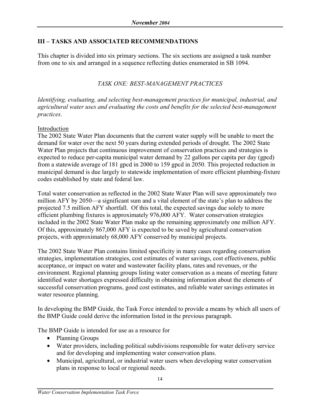## **III – TASKS AND ASSOCIATED RECOMMENDATIONS**

This chapter is divided into six primary sections. The six sections are assigned a task number from one to six and arranged in a sequence reflecting duties enumerated in SB 1094.

## *TASK ONE: BEST-MANAGEMENT PRACTICES*

*Identifying, evaluating, and selecting best-management practices for municipal, industrial, and agricultural water uses and evaluating the costs and benefits for the selected best-management practices.* 

#### Introduction

The 2002 State Water Plan documents that the current water supply will be unable to meet the demand for water over the next 50 years during extended periods of drought. The 2002 State Water Plan projects that continuous improvement of conservation practices and strategies is expected to reduce per-capita municipal water demand by 22 gallons per capita per day (gpcd) from a statewide average of 181 gpcd in 2000 to 159 gpcd in 2050. This projected reduction in municipal demand is due largely to statewide implementation of more efficient plumbing-fixture codes established by state and federal law.

Total water conservation as reflected in the 2002 State Water Plan will save approximately two million AFY by 2050—a significant sum and a vital element of the state's plan to address the projected 7.5 million AFY shortfall. Of this total, the expected savings due solely to more efficient plumbing fixtures is approximately 976,000 AFY. Water conservation strategies included in the 2002 State Water Plan make up the remaining approximately one million AFY. Of this, approximately 867,000 AFY is expected to be saved by agricultural conservation projects, with approximately 68,000 AFY conserved by municipal projects.

The 2002 State Water Plan contains limited specificity in many cases regarding conservation strategies, implementation strategies, cost estimates of water savings, cost effectiveness, public acceptance, or impact on water and wastewater facility plans, rates and revenues, or the environment. Regional planning groups listing water conservation as a means of meeting future identified water shortages expressed difficulty in obtaining information about the elements of successful conservation programs, good cost estimates, and reliable water savings estimates in water resource planning.

In developing the BMP Guide, the Task Force intended to provide a means by which all users of the BMP Guide could derive the information listed in the previous paragraph.

The BMP Guide is intended for use as a resource for

- Planning Groups
- Water providers, including political subdivisions responsible for water delivery service and for developing and implementing water conservation plans.
- Municipal, agricultural, or industrial water users when developing water conservation plans in response to local or regional needs.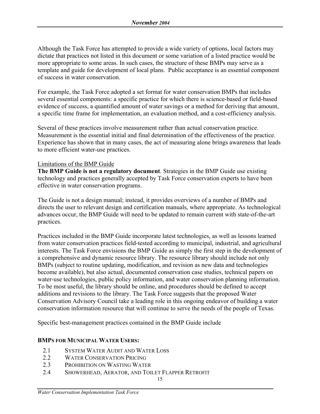Although the Task Force has attempted to provide a wide variety of options, local factors may dictate that practices not listed in this document or some variation of a listed practice would be more appropriate to some areas. In such cases, the structure of these BMPs may serve as a template and guide for development of local plans. Public acceptance is an essential component of success in water conservation.

For example, the Task Force adopted a set format for water conservation BMPs that includes several essential components: a specific practice for which there is science-based or field-based evidence of success, a quantified amount of water savings or a method for deriving that amount, a specific time frame for implementation, an evaluation method, and a cost-efficiency analysis.

Several of these practices involve measurement rather than actual conservation practice. Measurement is the essential initial and final determination of the effectiveness of the practice. Experience has shown that in many cases, the act of measuring alone brings awareness that leads to more efficient water-use practices.

#### Limitations of the BMP Guide

**The BMP Guide is not a regulatory document**. Strategies in the BMP Guide use existing technology and practices generally accepted by Task Force conservation experts to have been effective in water conservation programs.

The Guide is not a design manual; instead, it provides overviews of a number of BMPs and directs the user to relevant design and certification manuals, where appropriate. As technological advances occur, the BMP Guide will need to be updated to remain current with state-of-the-art practices.

Practices included in the BMP Guide incorporate latest technologies, as well as lessons learned from water conservation practices field-tested according to municipal, industrial, and agricultural interests. The Task Force envisions the BMP Guide as simply the first step in the development of a comprehensive and dynamic resource library. The resource library should include not only BMPs (subject to routine updating, modification, and revision as new data and technologies become available), but also actual, documented conservation case studies, technical papers on water-use technologies, public policy information, and water conservation planning information. To be most useful, the library should be online, and procedures should be defined to accept additions and revisions to the library. The Task Force suggests that the proposed Water Conservation Advisory Council take a leading role in this ongoing endeavor of building a water conservation information resource that will continue to serve the needs of the people of Texas.

Specific best-management practices contained in the BMP Guide include

#### **BMPS FOR MUNICIPAL WATER USERS:**

- 2.1 SYSTEM WATER AUDIT AND WATER LOSS
- 2.2 WATER CONSERVATION PRICING
- 2.3 PROHIBITION ON WASTING WATER
- 2.4 SHOWERHEAD, AERATOR, AND TOILET FLAPPER RETROFIT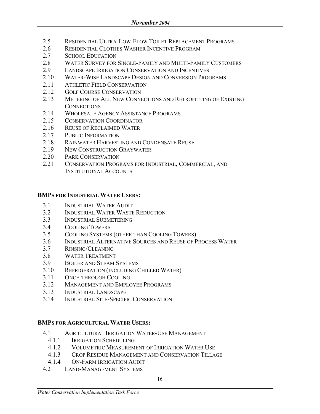- 2.5 RESIDENTIAL ULTRA-LOW-FLOW TOILET REPLACEMENT PROGRAMS
- 2.6 RESIDENTIAL CLOTHES WASHER INCENTIVE PROGRAM
- 2.7 SCHOOL EDUCATION
- 2.8 WATER SURVEY FOR SINGLE-FAMILY AND MULTI-FAMILY CUSTOMERS
- 2.9 LANDSCAPE IRRIGATION CONSERVATION AND INCENTIVES
- 2.10 WATER-WISE LANDSCAPE DESIGN AND CONVERSION PROGRAMS
- 2.11 ATHLETIC FIELD CONSERVATION
- 2.12 GOLF COURSE CONSERVATION
- 2.13 METERING OF ALL NEW CONNECTIONS AND RETROFITTING OF EXISTING **CONNECTIONS**
- 2.14 WHOLESALE AGENCY ASSISTANCE PROGRAMS
- 2.15 CONSERVATION COORDINATOR
- 2.16 REUSE OF RECLAIMED WATER
- 2.17 PUBLIC INFORMATION
- 2.18 RAINWATER HARVESTING AND CONDENSATE REUSE
- 2.19 NEW CONSTRUCTION GRAYWATER
- 2.20 PARK CONSERVATION
- 2.21 CONSERVATION PROGRAMS FOR INDUSTRIAL, COMMERCIAL, AND INSTITUTIONAL ACCOUNTS

#### **BMPS FOR INDUSTRIAL WATER USERS:**

- 3.1 INDUSTRIAL WATER AUDIT
- 3.2 INDUSTRIAL WATER WASTE REDUCTION
- 3.3 INDUSTRIAL SUBMETERING
- 3.4 COOLING TOWERS
- 3.5 COOLING SYSTEMS (OTHER THAN COOLING TOWERS)
- 3.6 INDUSTRIAL ALTERNATIVE SOURCES AND REUSE OF PROCESS WATER
- 3.7 RINSING/CLEANING
- 3.8 WATER TREATMENT
- 3.9 BOILER AND STEAM SYSTEMS
- 3.10 REFRIGERATION (INCLUDING CHILLED WATER)
- 3.11 ONCE-THROUGH COOLING
- 3.12 MANAGEMENT AND EMPLOYEE PROGRAMS
- 3.13 INDUSTRIAL LANDSCAPE
- 3.14 INDUSTRIAL SITE-SPECIFIC CONSERVATION

#### **BMPS FOR AGRICULTURAL WATER USERS:**

- 4.1 AGRICULTURAL IRRIGATION WATER-USE MANAGEMENT
	- 4.1.1 IRRIGATION SCHEDULING
	- 4.1.2 VOLUMETRIC MEASUREMENT OF IRRIGATION WATER USE
	- 4.1.3 CROP RESIDUE MANAGEMENT AND CONSERVATION TILLAGE
	- 4.1.4 ON-FARM IRRIGATION AUDIT
- 4.2 LAND-MANAGEMENT SYSTEMS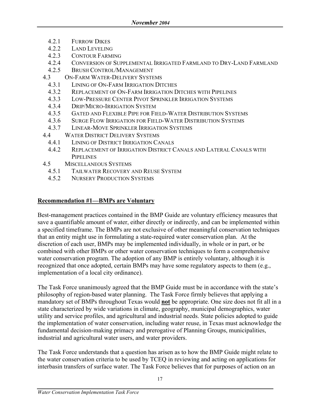- 4.2.1 FURROW DIKES
- 4.2.2 LAND LEVELING
- 4.2.3 CONTOUR FARMING
- 4.2.4 CONVERSION OF SUPPLEMENTAL IRRIGATED FARMLAND TO DRY-LAND FARMLAND
- 4.2.5 BRUSH CONTROL/MANAGEMENT
- 4.3 ON-FARM WATER-DELIVERY SYSTEMS
	- 4.3.1 LINING OF ON-FARM IRRIGATION DITCHES
	- 4.3.2 REPLACEMENT OF ON-FARM IRRIGATION DITCHES WITH PIPELINES
	- 4.3.3 LOW-PRESSURE CENTER PIVOT SPRINKLER IRRIGATION SYSTEMS
	- 4.3.4 DRIP/MICRO-IRRIGATION SYSTEM
	- 4.3.5 GATED AND FLEXIBLE PIPE FOR FIELD-WATER DISTRIBUTION SYSTEMS
	- 4.3.6 SURGE FLOW IRRIGATION FOR FIELD-WATER DISTRIBUTION SYSTEMS
	- 4.3.7 LINEAR-MOVE SPRINKLER IRRIGATION SYSTEMS
- 4.4 WATER DISTRICT DELIVERY SYSTEMS
	- 4.4.1 LINING OF DISTRICT IRRIGATION CANALS
	- 4.4.2 REPLACEMENT OF IRRIGATION DISTRICT CANALS AND LATERAL CANALS WITH **PIPELINES**
- 4.5 MISCELLANEOUS SYSTEMS
	- 4.5.1 TAILWATER RECOVERY AND REUSE SYSTEM
	- 4.5.2 NURSERY PRODUCTION SYSTEMS

## **Recommendation #1—BMPs are Voluntary**

Best-management practices contained in the BMP Guide are voluntary efficiency measures that save a quantifiable amount of water, either directly or indirectly, and can be implemented within a specified timeframe. The BMPs are not exclusive of other meaningful conservation techniques that an entity might use in formulating a state-required water conservation plan. At the discretion of each user, BMPs may be implemented individually, in whole or in part, or be combined with other BMPs or other water conservation techniques to form a comprehensive water conservation program. The adoption of any BMP is entirely voluntary, although it is recognized that once adopted, certain BMPs may have some regulatory aspects to them (e.g., implementation of a local city ordinance).

The Task Force unanimously agreed that the BMP Guide must be in accordance with the state's philosophy of region-based water planning. The Task Force firmly believes that applying a mandatory set of BMPs throughout Texas would **not** be appropriate. One size does not fit all in a state characterized by wide variations in climate, geography, municipal demographics, water utility and service profiles, and agricultural and industrial needs. State policies adopted to guide the implementation of water conservation, including water reuse, in Texas must acknowledge the fundamental decision-making primacy and prerogative of Planning Groups, municipalities, industrial and agricultural water users, and water providers.

The Task Force understands that a question has arisen as to how the BMP Guide might relate to the water conservation criteria to be used by TCEQ in reviewing and acting on applications for interbasin transfers of surface water. The Task Force believes that for purposes of action on an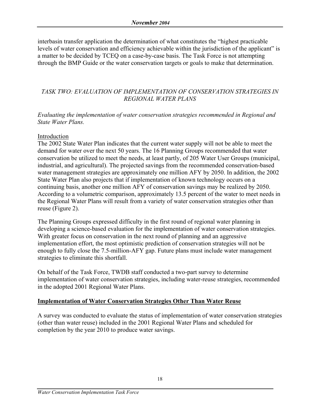interbasin transfer application the determination of what constitutes the "highest practicable levels of water conservation and efficiency achievable within the jurisdiction of the applicant" is a matter to be decided by TCEQ on a case-by-case basis. The Task Force is not attempting through the BMP Guide or the water conservation targets or goals to make that determination.

#### *TASK TWO: EVALUATION OF IMPLEMENTATION OF CONSERVATION STRATEGIES IN REGIONAL WATER PLANS*

#### *Evaluating the implementation of water conservation strategies recommended in Regional and State Water Plans.*

#### Introduction

The 2002 State Water Plan indicates that the current water supply will not be able to meet the demand for water over the next 50 years. The 16 Planning Groups recommended that water conservation be utilized to meet the needs, at least partly, of 205 Water User Groups (municipal, industrial, and agricultural). The projected savings from the recommended conservation-based water management strategies are approximately one million AFY by 2050. In addition, the 2002 State Water Plan also projects that if implementation of known technology occurs on a continuing basis, another one million AFY of conservation savings may be realized by 2050. According to a volumetric comparison, approximately 13.5 percent of the water to meet needs in the Regional Water Plans will result from a variety of water conservation strategies other than reuse (Figure 2).

The Planning Groups expressed difficulty in the first round of regional water planning in developing a science-based evaluation for the implementation of water conservation strategies. With greater focus on conservation in the next round of planning and an aggressive implementation effort, the most optimistic prediction of conservation strategies will not be enough to fully close the 7.5-million-AFY gap. Future plans must include water management strategies to eliminate this shortfall.

On behalf of the Task Force, TWDB staff conducted a two-part survey to determine implementation of water conservation strategies, including water-reuse strategies, recommended in the adopted 2001 Regional Water Plans.

## **Implementation of Water Conservation Strategies Other Than Water Reuse**

A survey was conducted to evaluate the status of implementation of water conservation strategies (other than water reuse) included in the 2001 Regional Water Plans and scheduled for completion by the year 2010 to produce water savings.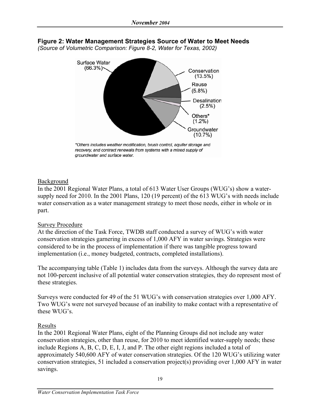



recovery, and contract renewals from systems with a mixed supply of groundwater and surface water.

## Background

In the 2001 Regional Water Plans, a total of 613 Water User Groups (WUG's) show a watersupply need for 2010. In the 2001 Plans, 120 (19 percent) of the 613 WUG's with needs include water conservation as a water management strategy to meet those needs, either in whole or in part.

## Survey Procedure

At the direction of the Task Force, TWDB staff conducted a survey of WUG's with water conservation strategies garnering in excess of 1,000 AFY in water savings. Strategies were considered to be in the process of implementation if there was tangible progress toward implementation (i.e., money budgeted, contracts, completed installations).

The accompanying table (Table 1) includes data from the surveys. Although the survey data are not 100-percent inclusive of all potential water conservation strategies, they do represent most of these strategies.

Surveys were conducted for 49 of the 51 WUG's with conservation strategies over 1,000 AFY. Two WUG's were not surveyed because of an inability to make contact with a representative of these WUG's.

## Results

In the 2001 Regional Water Plans, eight of the Planning Groups did not include any water conservation strategies, other than reuse, for 2010 to meet identified water-supply needs; these include Regions A, B, C, D, E, I, J, and P. The other eight regions included a total of approximately 540,600 AFY of water conservation strategies. Of the 120 WUG's utilizing water conservation strategies, 51 included a conservation project(s) providing over 1,000 AFY in water savings.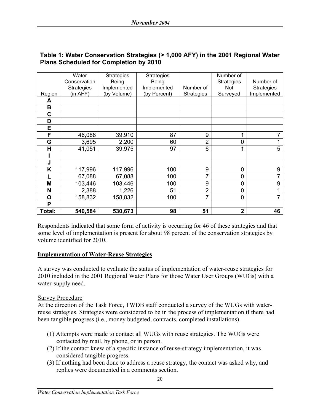## **Table 1: Water Conservation Strategies (> 1,000 AFY) in the 2001 Regional Water Plans Scheduled for Completion by 2010**

|        | Water             | <b>Strategies</b> | <b>Strategies</b> |                   | Number of         |                   |
|--------|-------------------|-------------------|-------------------|-------------------|-------------------|-------------------|
|        | Conservation      | Being             | Being             |                   | <b>Strategies</b> | Number of         |
|        | <b>Strategies</b> | Implemented       | Implemented       | Number of         | <b>Not</b>        | <b>Strategies</b> |
| Region | $(in$ AFY $)$     | (by Volume)       | (by Percent)      | <b>Strategies</b> | Surveyed          | Implemented       |
| A      |                   |                   |                   |                   |                   |                   |
| B      |                   |                   |                   |                   |                   |                   |
| C      |                   |                   |                   |                   |                   |                   |
| D      |                   |                   |                   |                   |                   |                   |
| E      |                   |                   |                   |                   |                   |                   |
| F      | 46,088            | 39,910            | 87                | 9                 | 1                 | 7                 |
| G      | 3,695             | 2,200             | 60                | $\overline{2}$    | 0                 |                   |
| H      | 41,051            | 39,975            | 97                | 6                 | 1                 | 5                 |
|        |                   |                   |                   |                   |                   |                   |
| J      |                   |                   |                   |                   |                   |                   |
| K      | 117,996           | 117,996           | 100               | 9                 | 0                 | 9                 |
|        | 67,088            | 67,088            | 100               | 7                 | 0                 | $\overline{7}$    |
| M      | 103,446           | 103,446           | 100               | 9                 | 0                 | 9                 |
| N      | 2,388             | 1,226             | 51                | $\overline{2}$    | 0                 |                   |
| O      | 158,832           | 158,832           | 100               | 7                 | 0                 | 7                 |
| P      |                   |                   |                   |                   |                   |                   |
| Total: | 540,584           | 530,673           | 98                | 51                | $\overline{2}$    | 46                |

Respondents indicated that some form of activity is occurring for 46 of these strategies and that some level of implementation is present for about 98 percent of the conservation strategies by volume identified for 2010.

#### **Implementation of Water-Reuse Strategies**

A survey was conducted to evaluate the status of implementation of water-reuse strategies for 2010 included in the 2001 Regional Water Plans for those Water User Groups (WUGs) with a water-supply need.

#### Survey Procedure

At the direction of the Task Force, TWDB staff conducted a survey of the WUGs with waterreuse strategies. Strategies were considered to be in the process of implementation if there had been tangible progress (i.e., money budgeted, contracts, completed installations).

- (1) Attempts were made to contact all WUGs with reuse strategies. The WUGs were contacted by mail, by phone, or in person.
- (2) If the contact knew of a specific instance of reuse-strategy implementation, it was considered tangible progress.
- (3) If nothing had been done to address a reuse strategy, the contact was asked why, and replies were documented in a comments section.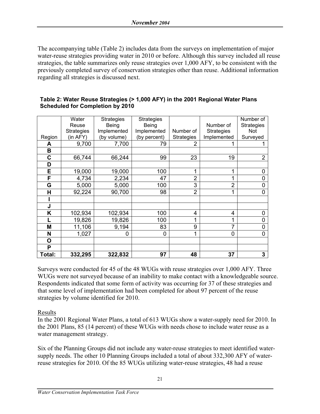The accompanying table (Table 2) includes data from the surveys on implementation of major water-reuse strategies providing water in 2010 or before. Although this survey included all reuse strategies, the table summarizes only reuse strategies over 1,000 AFY, to be consistent with the previously completed survey of conservation strategies other than reuse. Additional information regarding all strategies is discussed next.

| Table 2: Water Reuse Strategies (> 1,000 AFY) in the 2001 Regional Water Plans |  |
|--------------------------------------------------------------------------------|--|
| <b>Scheduled for Completion by 2010</b>                                        |  |

|        | Water             | <b>Strategies</b> | <b>Strategies</b> |                   |                   | Number of         |
|--------|-------------------|-------------------|-------------------|-------------------|-------------------|-------------------|
|        | Reuse             | Being             | Being             |                   | Number of         | <b>Strategies</b> |
|        | <b>Strategies</b> | Implemented       | Implemented       | Number of         | <b>Strategies</b> | Not               |
| Region | (in AFY)          | (by volume)       | (by percent)      | <b>Strategies</b> | Implemented       | Surveyed          |
| A      | 9,700             | 7,700             | 79                | 2                 |                   |                   |
| В      |                   |                   |                   |                   |                   |                   |
| C      | 66,744            | 66,244            | 99                | 23                | 19                | $\overline{2}$    |
| D      |                   |                   |                   |                   |                   |                   |
| E      | 19,000            | 19,000            | 100               | 1                 | 1                 | 0                 |
| F      | 4,734             | 2,234             | 47                | $\overline{2}$    | 1                 | 0                 |
| G      | 5,000             | 5,000             | 100               | 3                 | $\overline{2}$    | 0                 |
| н      | 92,224            | 90,700            | 98                | $\overline{2}$    | 1                 | $\mathbf 0$       |
|        |                   |                   |                   |                   |                   |                   |
|        |                   |                   |                   |                   |                   |                   |
| K      | 102,934           | 102,934           | 100               | $\overline{4}$    | $\overline{4}$    | 0                 |
|        | 19,826            | 19,826            | 100               | 1                 |                   | 0                 |
| Μ      | 11,106            | 9,194             | 83                | 9                 | 7                 | 0                 |
| N      | 1,027             | 0                 | 0                 | 1                 | 0                 | $\mathbf{0}$      |
| O      |                   |                   |                   |                   |                   |                   |
| Р      |                   |                   |                   |                   |                   |                   |
| Total: | 332,295           | 322,832           | 97                | 48                | 37                | 3                 |

Surveys were conducted for 45 of the 48 WUGs with reuse strategies over 1,000 AFY. Three WUGs were not surveyed because of an inability to make contact with a knowledgeable source. Respondents indicated that some form of activity was occurring for 37 of these strategies and that some level of implementation had been completed for about 97 percent of the reuse strategies by volume identified for 2010.

#### Results

In the 2001 Regional Water Plans, a total of 613 WUGs show a water-supply need for 2010. In the 2001 Plans, 85 (14 percent) of these WUGs with needs chose to include water reuse as a water management strategy.

Six of the Planning Groups did not include any water-reuse strategies to meet identified watersupply needs. The other 10 Planning Groups included a total of about 332,300 AFY of waterreuse strategies for 2010. Of the 85 WUGs utilizing water-reuse strategies, 48 had a reuse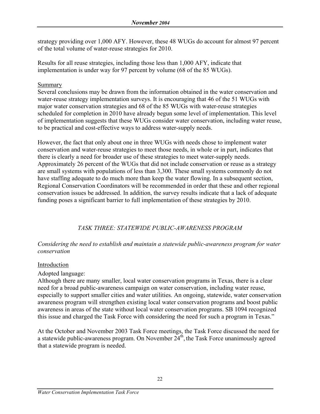strategy providing over 1,000 AFY. However, these 48 WUGs do account for almost 97 percent of the total volume of water-reuse strategies for 2010.

Results for all reuse strategies, including those less than 1,000 AFY, indicate that implementation is under way for 97 percent by volume (68 of the 85 WUGs).

## Summary

Several conclusions may be drawn from the information obtained in the water conservation and water-reuse strategy implementation surveys. It is encouraging that 46 of the 51 WUGs with major water conservation strategies and 68 of the 85 WUGs with water-reuse strategies scheduled for completion in 2010 have already begun some level of implementation. This level of implementation suggests that these WUGs consider water conservation, including water reuse, to be practical and cost-effective ways to address water-supply needs.

However, the fact that only about one in three WUGs with needs chose to implement water conservation and water-reuse strategies to meet those needs, in whole or in part, indicates that there is clearly a need for broader use of these strategies to meet water-supply needs. Approximately 26 percent of the WUGs that did not include conservation or reuse as a strategy are small systems with populations of less than 3,300. These small systems commonly do not have staffing adequate to do much more than keep the water flowing. In a subsequent section, Regional Conservation Coordinators will be recommended in order that these and other regional conservation issues be addressed. In addition, the survey results indicate that a lack of adequate funding poses a significant barrier to full implementation of these strategies by 2010.

## *TASK THREE: STATEWIDE PUBLIC-AWARENESS PROGRAM*

#### *Considering the need to establish and maintain a statewide public-awareness program for water conservation*

## Introduction

## Adopted language:

Although there are many smaller, local water conservation programs in Texas, there is a clear need for a broad public-awareness campaign on water conservation, including water reuse, especially to support smaller cities and water utilities. An ongoing, statewide, water conservation awareness program will strengthen existing local water conservation programs and boost public awareness in areas of the state without local water conservation programs. SB 1094 recognized this issue and charged the Task Force with considering the need for such a program in Texas."

At the October and November 2003 Task Force meetings, the Task Force discussed the need for a statewide public-awareness program. On November  $24<sup>th</sup>$ , the Task Force unanimously agreed that a statewide program is needed.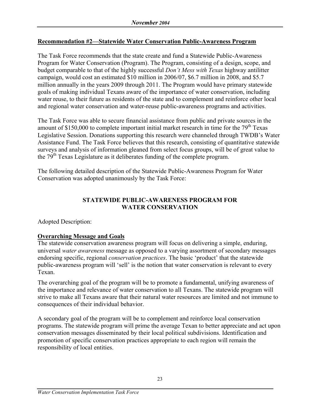## **Recommendation #2—Statewide Water Conservation Public-Awareness Program**

The Task Force recommends that the state create and fund a Statewide Public-Awareness Program for Water Conservation (Program). The Program, consisting of a design, scope, and budget comparable to that of the highly successful *Don't Mess with Texas* highway antilitter campaign, would cost an estimated \$10 million in 2006/07, \$6.7 million in 2008, and \$5.7 million annually in the years 2009 through 2011. The Program would have primary statewide goals of making individual Texans aware of the importance of water conservation, including water reuse, to their future as residents of the state and to complement and reinforce other local and regional water conservation and water-reuse public-awareness programs and activities.

The Task Force was able to secure financial assistance from public and private sources in the amount of \$150,000 to complete important initial market research in time for the  $79<sup>th</sup>$  Texas Legislative Session. Donations supporting this research were channeled through TWDB's Water Assistance Fund. The Task Force believes that this research, consisting of quantitative statewide surveys and analysis of information gleaned from select focus groups, will be of great value to the 79<sup>th</sup> Texas Legislature as it deliberates funding of the complete program.

The following detailed description of the Statewide Public-Awareness Program for Water Conservation was adopted unanimously by the Task Force:

## **STATEWIDE PUBLIC-AWARENESS PROGRAM FOR WATER CONSERVATION**

Adopted Description:

## **Overarching Message and Goals**

The statewide conservation awareness program will focus on delivering a simple, enduring, universal *water awareness* message as opposed to a varying assortment of secondary messages endorsing specific, regional *conservation practices*. The basic 'product' that the statewide public-awareness program will 'sell' is the notion that water conservation is relevant to every Texan.

The overarching goal of the program will be to promote a fundamental, unifying awareness of the importance and relevance of water conservation to all Texans. The statewide program will strive to make all Texans aware that their natural water resources are limited and not immune to consequences of their individual behavior.

A secondary goal of the program will be to complement and reinforce local conservation programs. The statewide program will prime the average Texan to better appreciate and act upon conservation messages disseminated by their local political subdivisions. Identification and promotion of specific conservation practices appropriate to each region will remain the responsibility of local entities.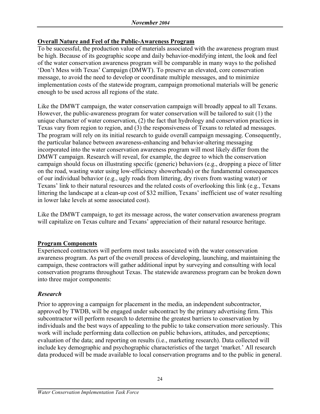## **Overall Nature and Feel of the Public-Awareness Program**

To be successful, the production value of materials associated with the awareness program must be high. Because of its geographic scope and daily behavior-modifying intent, the look and feel of the water conservation awareness program will be comparable in many ways to the polished 'Don't Mess with Texas' Campaign (DMWT). To preserve an elevated, core conservation message, to avoid the need to develop or coordinate multiple messages, and to minimize implementation costs of the statewide program, campaign promotional materials will be generic enough to be used across all regions of the state.

Like the DMWT campaign, the water conservation campaign will broadly appeal to all Texans. However, the public-awareness program for water conservation will be tailored to suit (1) the unique character of water conservation, (2) the fact that hydrology and conservation practices in Texas vary from region to region, and (3) the responsiveness of Texans to related ad messages. The program will rely on its initial research to guide overall campaign messaging. Consequently, the particular balance between awareness-enhancing and behavior-altering messaging incorporated into the water conservation awareness program will most likely differ from the DMWT campaign. Research will reveal, for example, the degree to which the conservation campaign should focus on illustrating specific (generic) behaviors (e.g., dropping a piece of litter on the road, wasting water using low-efficiency showerheads) or the fundamental consequences of our individual behavior (e.g., ugly roads from littering, dry rivers from wasting water) or Texans' link to their natural resources and the related costs of overlooking this link (e.g., Texans littering the landscape at a clean-up cost of \$32 million, Texans' inefficient use of water resulting in lower lake levels at some associated cost).

Like the DMWT campaign, to get its message across, the water conservation awareness program will capitalize on Texas culture and Texans' appreciation of their natural resource heritage.

## **Program Components**

Experienced contractors will perform most tasks associated with the water conservation awareness program. As part of the overall process of developing, launching, and maintaining the campaign, these contractors will gather additional input by surveying and consulting with local conservation programs throughout Texas. The statewide awareness program can be broken down into three major components:

## *Research*

Prior to approving a campaign for placement in the media, an independent subcontractor, approved by TWDB, will be engaged under subcontract by the primary advertising firm. This subcontractor will perform research to determine the greatest barriers to conservation by individuals and the best ways of appealing to the public to take conservation more seriously. This work will include performing data collection on public behaviors, attitudes, and perceptions; evaluation of the data; and reporting on results (i.e., marketing research). Data collected will include key demographic and psychographic characteristics of the target 'market.' All research data produced will be made available to local conservation programs and to the public in general.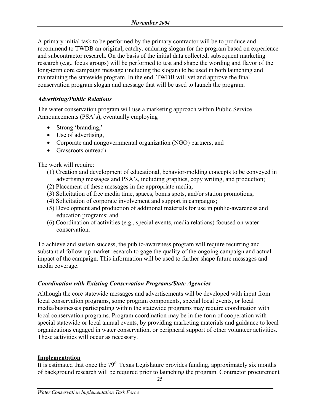A primary initial task to be performed by the primary contractor will be to produce and recommend to TWDB an original, catchy, enduring slogan for the program based on experience and subcontractor research. On the basis of the initial data collected, subsequent marketing research (e.g., focus groups) will be performed to test and shape the wording and flavor of the long-term core campaign message (including the slogan) to be used in both launching and maintaining the statewide program. In the end, TWDB will vet and approve the final conservation program slogan and message that will be used to launch the program.

#### *Advertising/Public Relations*

The water conservation program will use a marketing approach within Public Service Announcements (PSA's), eventually employing

- Strong 'branding,'
- Use of advertising,
- Corporate and nongovernmental organization (NGO) partners, and
- Grassroots outreach

The work will require:

- (1) Creation and development of educational, behavior-molding concepts to be conveyed in advertising messages and PSA's, including graphics, copy writing, and production;
- (2) Placement of these messages in the appropriate media;
- (3) Solicitation of free media time, spaces, bonus spots, and/or station promotions;
- (4) Solicitation of corporate involvement and support in campaigns;
- (5) Development and production of additional materials for use in public-awareness and education programs; and
- (6) Coordination of activities (e.g., special events, media relations) focused on water conservation.

To achieve and sustain success, the public-awareness program will require recurring and substantial follow-up market research to gage the quality of the ongoing campaign and actual impact of the campaign. This information will be used to further shape future messages and media coverage.

## *Coordination with Existing Conservation Programs/State Agencies*

Although the core statewide messages and advertisements will be developed with input from local conservation programs, some program components, special local events, or local media/businesses participating within the statewide programs may require coordination with local conservation programs. Program coordination may be in the form of cooperation with special statewide or local annual events, by providing marketing materials and guidance to local organizations engaged in water conservation, or peripheral support of other volunteer activities. These activities will occur as necessary.

## **Implementation**

It is estimated that once the  $79<sup>th</sup>$  Texas Legislature provides funding, approximately six months of background research will be required prior to launching the program. Contractor procurement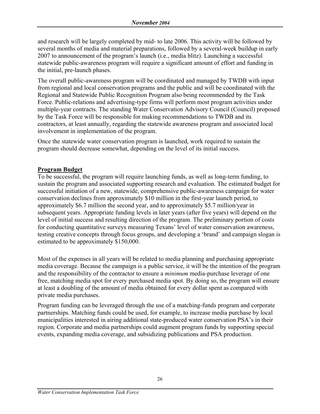and research will be largely completed by mid- to late 2006. This activity will be followed by several months of media and material preparations, followed by a several-week buildup in early 2007 to announcement of the program's launch (i.e., media blitz). Launching a successful statewide public-awareness program will require a significant amount of effort and funding in the initial, pre-launch phases.

The overall public-awareness program will be coordinated and managed by TWDB with input from regional and local conservation programs and the public and will be coordinated with the Regional and Statewide Public Recognition Program also being recommended by the Task Force. Public-relations and advertising-type firms will perform most program activities under multiple-year contracts. The standing Water Conservation Advisory Council (Council) proposed by the Task Force will be responsible for making recommendations to TWDB and its contractors, at least annually, regarding the statewide awareness program and associated local involvement in implementation of the program.

Once the statewide water conservation program is launched, work required to sustain the program should decrease somewhat, depending on the level of its initial success.

#### **Program Budget**

To be successful, the program will require launching funds, as well as long-term funding, to sustain the program and associated supporting research and evaluation. The estimated budget for successful initiation of a new, statewide, comprehensive public-awareness campaign for water conservation declines from approximately \$10 million in the first-year launch period, to approximately \$6.7 million the second year, and to approximately \$5.7 million/year in subsequent years. Appropriate funding levels in later years (after five years) will depend on the level of initial success and resulting direction of the program. The preliminary portion of costs for conducting quantitative surveys measuring Texans' level of water conservation awareness, testing creative concepts through focus groups, and developing a 'brand' and campaign slogan is estimated to be approximately \$150,000.

Most of the expenses in all years will be related to media planning and purchasing appropriate media coverage. Because the campaign is a public service, it will be the intention of the program and the responsibility of the contractor to ensure a *minimum* media-purchase leverage of one free, matching media spot for every purchased media spot. By doing so, the program will ensure at least a doubling of the amount of media obtained for every dollar spent as compared with private media purchases.

Program funding can be leveraged through the use of a matching-funds program and corporate partnerships. Matching funds could be used, for example, to increase media purchase by local municipalities interested in airing additional state-produced water conservation PSA's in their region. Corporate and media partnerships could augment program funds by supporting special events, expanding media coverage, and subsidizing publications and PSA production.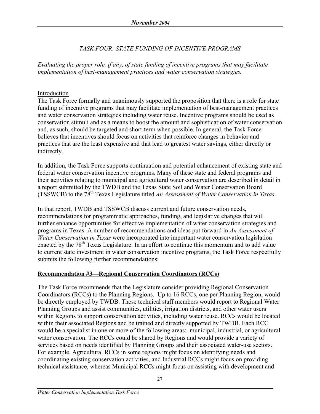# *TASK FOUR: STATE FUNDING OF INCENTIVE PROGRAMS*

*Evaluating the proper role, if any, of state funding of incentive programs that may facilitate implementation of best-management practices and water conservation strategies.* 

#### Introduction

The Task Force formally and unanimously supported the proposition that there is a role for state funding of incentive programs that may facilitate implementation of best-management practices and water conservation strategies including water reuse. Incentive programs should be used as conservation stimuli and as a means to boost the amount and sophistication of water conservation and, as such, should be targeted and short-term when possible. In general, the Task Force believes that incentives should focus on activities that reinforce changes in behavior and practices that are the least expensive and that lead to greatest water savings, either directly or indirectly.

In addition, the Task Force supports continuation and potential enhancement of existing state and federal water conservation incentive programs. Many of these state and federal programs and their activities relating to municipal and agricultural water conservation are described in detail in a report submitted by the TWDB and the Texas State Soil and Water Conservation Board (TSSWCB) to the 78th Texas Legislature titled *An Assessment of Water Conservation in Texas*.

In that report, TWDB and TSSWCB discuss current and future conservation needs, recommendations for programmatic approaches, funding, and legislative changes that will further enhance opportunities for effective implementation of water conservation strategies and programs in Texas. A number of recommendations and ideas put forward in *An Assessment of Water Conservation in Texas* were incorporated into important water conservation legislation enacted by the  $78<sup>th</sup>$  Texas Legislature. In an effort to continue this momentum and to add value to current state investment in water conservation incentive programs, the Task Force respectfully submits the following further recommendations:

# **Recommendation #3—Regional Conservation Coordinators (RCCs)**

The Task Force recommends that the Legislature consider providing Regional Conservation Coordinators (RCCs) to the Planning Regions. Up to 16 RCCs, one per Planning Region, would be directly employed by TWDB. These technical staff members would report to Regional Water Planning Groups and assist communities, utilities, irrigation districts, and other water users within Regions to support conservation activities, including water reuse. RCCs would be located within their associated Regions and be trained and directly supported by TWDB. Each RCC would be a specialist in one or more of the following areas: municipal, industrial, or agricultural water conservation. The RCCs could be shared by Regions and would provide a variety of services based on needs identified by Planning Groups and their associated water-use sectors. For example, Agricultural RCCs in some regions might focus on identifying needs and coordinating existing conservation activities, and Industrial RCCs might focus on providing technical assistance, whereas Municipal RCCs might focus on assisting with development and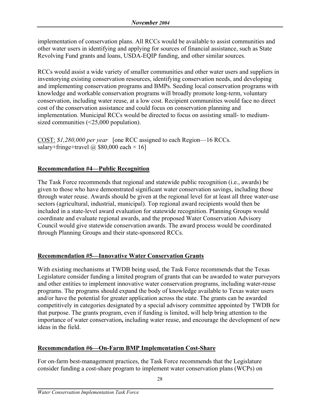implementation of conservation plans. All RCCs would be available to assist communities and other water users in identifying and applying for sources of financial assistance, such as State Revolving Fund grants and loans, USDA-EQIP funding, and other similar sources.

RCCs would assist a wide variety of smaller communities and other water users and suppliers in inventorying existing conservation resources, identifying conservation needs, and developing and implementing conservation programs and BMPs. Seeding local conservation programs with knowledge and workable conservation programs will broadly promote long-term, voluntary conservation, including water reuse, at a low cost. Recipient communities would face no direct cost of the conservation assistance and could focus on conservation planning and implementation. Municipal RCCs would be directed to focus on assisting small- to mediumsized communities (<25,000 population).

COST: *\$1,280,000 per year* [one RCC assigned to each Region—16 RCCs. salary+fringe+travel @ \$80,000 each  $\times$  16]

#### **Recommendation #4—Public Recognition**

The Task Force recommends that regional and statewide public recognition (i.e., awards) be given to those who have demonstrated significant water conservation savings, including those through water reuse. Awards should be given at the regional level for at least all three water-use sectors (agricultural, industrial, municipal). Top regional award recipients would then be included in a state-level award evaluation for statewide recognition. Planning Groups would coordinate and evaluate regional awards, and the proposed Water Conservation Advisory Council would give statewide conservation awards. The award process would be coordinated through Planning Groups and their state-sponsored RCCs.

# **Recommendation #5—Innovative Water Conservation Grants**

With existing mechanisms at TWDB being used, the Task Force recommends that the Texas Legislature consider funding a limited program of grants that can be awarded to water purveyors and other entities to implement innovative water conservation programs, including water-reuse programs. The programs should expand the body of knowledge available to Texas water users and/or have the potential for greater application across the state. The grants can be awarded competitively in categories designated by a special advisory committee appointed by TWDB for that purpose. The grants program, even if funding is limited, will help bring attention to the importance of water conservation**,** including water reuse, and encourage the development of new ideas in the field.

#### **Recommendation #6—On-Farm BMP Implementation Cost-Share**

For on-farm best-management practices, the Task Force recommends that the Legislature consider funding a cost-share program to implement water conservation plans (WCPs) on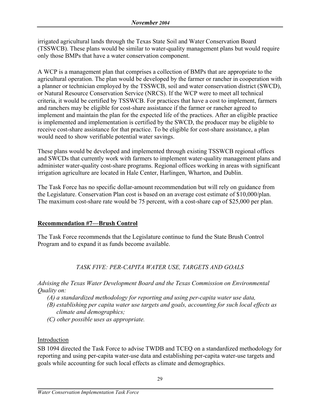irrigated agricultural lands through the Texas State Soil and Water Conservation Board (TSSWCB). These plans would be similar to water-quality management plans but would require only those BMPs that have a water conservation component.

A WCP is a management plan that comprises a collection of BMPs that are appropriate to the agricultural operation. The plan would be developed by the farmer or rancher in cooperation with a planner or technician employed by the TSSWCB, soil and water conservation district (SWCD), or Natural Resource Conservation Service (NRCS). If the WCP were to meet all technical criteria, it would be certified by TSSWCB. For practices that have a cost to implement, farmers and ranchers may be eligible for cost-share assistance if the farmer or rancher agreed to implement and maintain the plan for the expected life of the practices. After an eligible practice is implemented and implementation is certified by the SWCD, the producer may be eligible to receive cost-share assistance for that practice. To be eligible for cost-share assistance, a plan would need to show verifiable potential water savings.

These plans would be developed and implemented through existing TSSWCB regional offices and SWCDs that currently work with farmers to implement water-quality management plans and administer water-quality cost-share programs. Regional offices working in areas with significant irrigation agriculture are located in Hale Center, Harlingen, Wharton, and Dublin.

The Task Force has no specific dollar-amount recommendation but will rely on guidance from the Legislature. Conservation Plan cost is based on an average cost estimate of \$10,000/plan. The maximum cost-share rate would be 75 percent, with a cost-share cap of \$25,000 per plan.

#### **Recommendation #7—Brush Control**

The Task Force recommends that the Legislature continue to fund the State Brush Control Program and to expand it as funds become available.

# *TASK FIVE: PER-CAPITA WATER USE, TARGETS AND GOALS*

*Advising the Texas Water Development Board and the Texas Commission on Environmental Quality on:* 

- *(A) a standardized methodology for reporting and using per-capita water use data,*
- *(B) establishing per capita water use targets and goals, accounting for such local effects as climate and demographics;*
- *(C) other possible uses as appropriate.*

# Introduction

SB 1094 directed the Task Force to advise TWDB and TCEQ on a standardized methodology for reporting and using per-capita water-use data and establishing per-capita water-use targets and goals while accounting for such local effects as climate and demographics.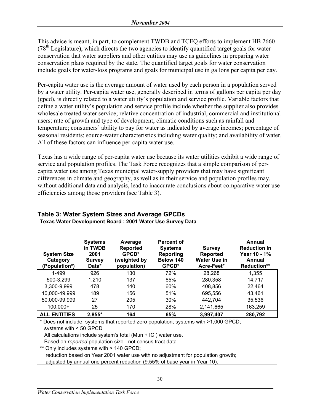This advice is meant, in part, to complement TWDB and TCEQ efforts to implement HB 2660  $(78<sup>th</sup>$  Legislature), which directs the two agencies to identify quantified target goals for water conservation that water suppliers and other entities may use as guidelines in preparing water conservation plans required by the state. The quantified target goals for water conservation include goals for water-loss programs and goals for municipal use in gallons per capita per day.

Per-capita water use is the average amount of water used by each person in a population served by a water utility. Per-capita water use, generally described in terms of gallons per capita per day (gpcd), is directly related to a water utility's population and service profile. Variable factors that define a water utility's population and service profile include whether the supplier also provides wholesale treated water service; relative concentration of industrial, commercial and institutional users; rate of growth and type of development; climatic conditions such as rainfall and temperature; consumers' ability to pay for water as indicated by average incomes; percentage of seasonal residents; source-water characteristics including water quality; and availability of water. All of these factors can influence per-capita water use.

Texas has a wide range of per-capita water use because its water utilities exhibit a wide range of service and population profiles. The Task Force recognizes that a simple comparison of percapita water use among Texas municipal water-supply providers that may have significant differences in climate and geography, as well as in their service and population profiles may, without additional data and analysis, lead to inaccurate conclusions about comparative water use efficiencies among those providers (see Table 3).

| <b>System Size</b><br>Category<br>(Population*) | <b>Systems</b><br>in TWDB<br>2001<br><b>Survey</b><br>Data* | Average<br><b>Reported</b><br>GPCD*<br>(weighted by<br>population) | Percent of<br><b>Systems</b><br><b>Reporting</b><br>Below 140<br>GPCD <sup>*</sup> | <b>Survey</b><br><b>Reported</b><br>Water Use in<br>Acre-Feet* | Annual<br><b>Reduction In</b><br>Year 10 - 1%<br>Annual<br><b>Reduction**</b> |
|-------------------------------------------------|-------------------------------------------------------------|--------------------------------------------------------------------|------------------------------------------------------------------------------------|----------------------------------------------------------------|-------------------------------------------------------------------------------|
| 1-499                                           | 926                                                         | 130                                                                | 72%                                                                                | 28,268                                                         | 1,355                                                                         |
| 500-3,299                                       | 1,210                                                       | 137                                                                | 65%                                                                                | 280,358                                                        | 14,717                                                                        |
| 3,300-9,999                                     | 478                                                         | 140                                                                | 60%                                                                                | 408,856                                                        | 22,464                                                                        |
| 10,000-49,999                                   | 189                                                         | 156                                                                | 51%                                                                                | 695,556                                                        | 43,461                                                                        |
| 50,000-99,999                                   | 27                                                          | 205                                                                | 30%                                                                                | 442,704                                                        | 35,536                                                                        |
| 100,000+                                        | 25                                                          | 170                                                                | 28%                                                                                | 2,141,665                                                      | 163,259                                                                       |
| <b>ALL ENTITIES</b>                             | 2,855*                                                      | 164                                                                | 65%                                                                                | 3,997,407                                                      | 280,792                                                                       |

# **Table 3: Water System Sizes and Average GPCDs**

**Texas Water Development Board : 2001 Water Use Survey Data** 

\* Does not include: systems that reported zero population; systems with >1,000 GPCD; systems with < 50 GPCD All calculations include system's total (Mun + ICI) water use.

Based on *reported* population size - not census tract data.

\*\* Only includes systems with > 140 GPCD; reduction based on Year 2001 water use with no adjustment for population growth; adjusted by annual one percent reduction (9.55% of base year in Year 10).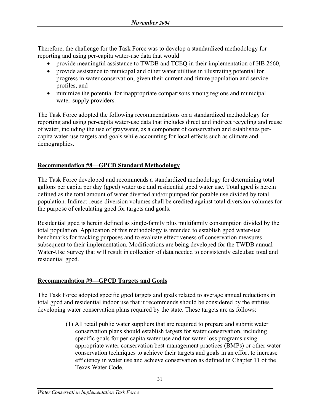Therefore, the challenge for the Task Force was to develop a standardized methodology for reporting and using per-capita water-use data that would

- provide meaningful assistance to TWDB and TCEQ in their implementation of HB 2660,
- provide assistance to municipal and other water utilities in illustrating potential for progress in water conservation, given their current and future population and service profiles, and
- minimize the potential for inappropriate comparisons among regions and municipal water-supply providers.

The Task Force adopted the following recommendations on a standardized methodology for reporting and using per-capita water-use data that includes direct and indirect recycling and reuse of water, including the use of graywater, as a component of conservation and establishes percapita water-use targets and goals while accounting for local effects such as climate and demographics.

# **Recommendation #8—GPCD Standard Methodology**

The Task Force developed and recommends a standardized methodology for determining total gallons per capita per day (gpcd) water use and residential gpcd water use. Total gpcd is herein defined as the total amount of water diverted and/or pumped for potable use divided by total population. Indirect-reuse-diversion volumes shall be credited against total diversion volumes for the purpose of calculating gpcd for targets and goals.

Residential gpcd is herein defined as single-family plus multifamily consumption divided by the total population. Application of this methodology is intended to establish gpcd water-use benchmarks for tracking purposes and to evaluate effectiveness of conservation measures subsequent to their implementation. Modifications are being developed for the TWDB annual Water-Use Survey that will result in collection of data needed to consistently calculate total and residential gpcd.

# **Recommendation #9—GPCD Targets and Goals**

The Task Force adopted specific gpcd targets and goals related to average annual reductions in total gpcd and residential indoor use that it recommends should be considered by the entities developing water conservation plans required by the state. These targets are as follows:

> (1) All retail public water suppliers that are required to prepare and submit water conservation plans should establish targets for water conservation, including specific goals for per-capita water use and for water loss programs using appropriate water conservation best-management practices (BMPs) or other water conservation techniques to achieve their targets and goals in an effort to increase efficiency in water use and achieve conservation as defined in Chapter 11 of the Texas Water Code.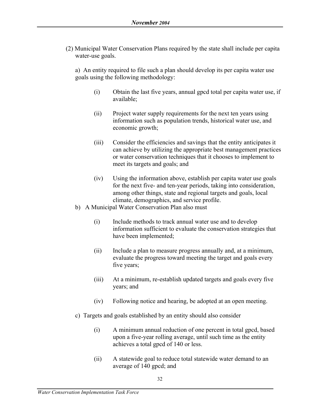(2) Municipal Water Conservation Plans required by the state shall include per capita water-use goals.

a) An entity required to file such a plan should develop its per capita water use goals using the following methodology:

- (i) Obtain the last five years, annual gpcd total per capita water use, if available;
- (ii) Project water supply requirements for the next ten years using information such as population trends, historical water use, and economic growth;
- (iii) Consider the efficiencies and savings that the entity anticipates it can achieve by utilizing the appropriate best management practices or water conservation techniques that it chooses to implement to meet its targets and goals; and
- (iv) Using the information above, establish per capita water use goals for the next five- and ten-year periods, taking into consideration, among other things, state and regional targets and goals, local climate, demographics, and service profile.
- b) A Municipal Water Conservation Plan also must
	- (i) Include methods to track annual water use and to develop information sufficient to evaluate the conservation strategies that have been implemented;
	- (ii) Include a plan to measure progress annually and, at a minimum, evaluate the progress toward meeting the target and goals every five years;
	- (iii) At a minimum, re-establish updated targets and goals every five years; and
	- (iv) Following notice and hearing, be adopted at an open meeting.
- c) Targets and goals established by an entity should also consider
	- (i) A minimum annual reduction of one percent in total gpcd, based upon a five-year rolling average, until such time as the entity achieves a total gpcd of 140 or less.
	- (ii) A statewide goal to reduce total statewide water demand to an average of 140 gpcd; and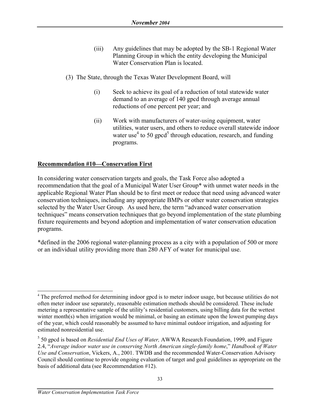- (iii) Any guidelines that may be adopted by the SB-1 Regional Water Planning Group in which the entity developing the Municipal Water Conservation Plan is located.
- (3) The State, through the Texas Water Development Board, will
	- (i) Seek to achieve its goal of a reduction of total statewide water demand to an average of 140 gpcd through average annual reductions of one percent per year; and
	- (ii) Work with manufacturers of water-using equipment, water utilities, water users, and others to reduce overall statewide indoor water use<sup>4</sup> to 50  $\text{gpcd}^5$  through education, research, and funding programs.

#### **Recommendation #10—Conservation First**

In considering water conservation targets and goals, the Task Force also adopted a recommendation that the goal of a Municipal Water User Group\* with unmet water needs in the applicable Regional Water Plan should be to first meet or reduce that need using advanced water conservation techniques, including any appropriate BMPs or other water conservation strategies selected by the Water User Group. As used here, the term "advanced water conservation techniques" means conservation techniques that go beyond implementation of the state plumbing fixture requirements and beyond adoption and implementation of water conservation education programs.

\*defined in the 2006 regional water-planning process as a city with a population of 500 or more or an individual utility providing more than 280 AFY of water for municipal use.

 $\overline{a}$ 

<sup>&</sup>lt;sup>4</sup> The preferred method for determining indoor gpcd is to meter indoor usage, but because utilities do not often meter indoor use separately, reasonable estimation methods should be considered. These include metering a representative sample of the utility's residential customers, using billing data for the wettest winter month(s) when irrigation would be minimal, or basing an estimate upon the lowest pumping days of the year, which could reasonably be assumed to have minimal outdoor irrigation, and adjusting for estimated nonresidential use.

<sup>5</sup> 50 gpcd is based on *Residential End Uses of Water,* AWWA Research Foundation, 1999, and Figure 2.4, "*Average indoor water use in conserving North American single-family home*," *Handbook of Water Use and Conservation*, Vickers, A., 2001. TWDB and the recommended Water-Conservation Advisory Council should continue to provide ongoing evaluation of target and goal guidelines as appropriate on the basis of additional data (see Recommendation #12).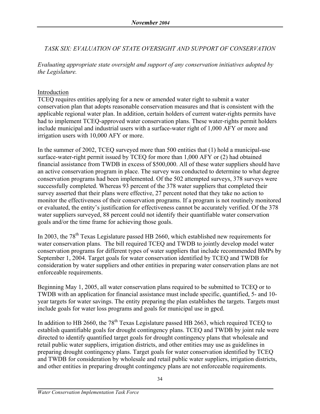# *TASK SIX: EVALUATION OF STATE OVERSIGHT AND SUPPORT OF CONSERVATION*

#### *Evaluating appropriate state oversight and support of any conservation initiatives adopted by the Legislature.*

# Introduction

TCEQ requires entities applying for a new or amended water right to submit a water conservation plan that adopts reasonable conservation measures and that is consistent with the applicable regional water plan. In addition, certain holders of current water-rights permits have had to implement TCEQ-approved water conservation plans. These water-rights permit holders include municipal and industrial users with a surface-water right of 1,000 AFY or more and irrigation users with 10,000 AFY or more.

In the summer of 2002, TCEQ surveyed more than 500 entities that (1) hold a municipal-use surface-water-right permit issued by TCEQ for more than 1,000 AFY or (2) had obtained financial assistance from TWDB in excess of \$500,000. All of these water suppliers should have an active conservation program in place. The survey was conducted to determine to what degree conservation programs had been implemented. Of the 502 attempted surveys, 378 surveys were successfully completed. Whereas 93 percent of the 378 water suppliers that completed their survey asserted that their plans were effective, 27 percent noted that they take no action to monitor the effectiveness of their conservation programs. If a program is not routinely monitored or evaluated, the entity's justification for effectiveness cannot be accurately verified. Of the 378 water suppliers surveyed, 88 percent could not identify their quantifiable water conservation goals and/or the time frame for achieving those goals.

In 2003, the  $78<sup>th</sup>$  Texas Legislature passed HB 2660, which established new requirements for water conservation plans. The bill required TCEQ and TWDB to jointly develop model water conservation programs for different types of water suppliers that include recommended BMPs by September 1, 2004. Target goals for water conservation identified by TCEQ and TWDB for consideration by water suppliers and other entities in preparing water conservation plans are not enforceable requirements.

Beginning May 1, 2005, all water conservation plans required to be submitted to TCEQ or to TWDB with an application for financial assistance must include specific, quantified, 5- and 10 year targets for water savings. The entity preparing the plan establishes the targets. Targets must include goals for water loss programs and goals for municipal use in gpcd.

In addition to HB 2660, the  $78<sup>th</sup>$  Texas Legislature passed HB 2663, which required TCEQ to establish quantifiable goals for drought contingency plans. TCEQ and TWDB by joint rule were directed to identify quantified target goals for drought contingency plans that wholesale and retail public water suppliers, irrigation districts, and other entities may use as guidelines in preparing drought contingency plans. Target goals for water conservation identified by TCEQ and TWDB for consideration by wholesale and retail public water suppliers, irrigation districts, and other entities in preparing drought contingency plans are not enforceable requirements.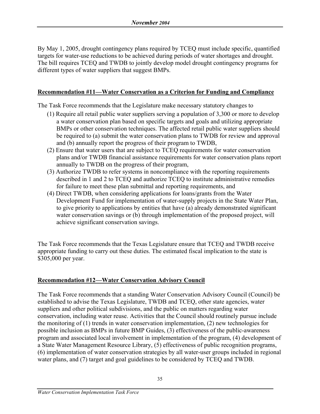By May 1, 2005, drought contingency plans required by TCEQ must include specific, quantified targets for water-use reductions to be achieved during periods of water shortages and drought. The bill requires TCEQ and TWDB to jointly develop model drought contingency programs for different types of water suppliers that suggest BMPs.

# **Recommendation #11—Water Conservation as a Criterion for Funding and Compliance**

The Task Force recommends that the Legislature make necessary statutory changes to

- (1) Require all retail public water suppliers serving a population of 3,300 or more to develop a water conservation plan based on specific targets and goals and utilizing appropriate BMPs or other conservation techniques. The affected retail public water suppliers should be required to (a) submit the water conservation plans to TWDB for review and approval and (b) annually report the progress of their program to TWDB,
- (2) Ensure that water users that are subject to TCEQ requirements for water conservation plans and/or TWDB financial assistance requirements for water conservation plans report annually to TWDB on the progress of their program,
- (3) Authorize TWDB to refer systems in noncompliance with the reporting requirements described in 1 and 2 to TCEQ and authorize TCEQ to institute administrative remedies for failure to meet these plan submittal and reporting requirements, and
- (4) Direct TWDB, when considering applications for loans/grants from the Water Development Fund for implementation of water-supply projects in the State Water Plan, to give priority to applications by entities that have (a) already demonstrated significant water conservation savings or (b) through implementation of the proposed project, will achieve significant conservation savings.

The Task Force recommends that the Texas Legislature ensure that TCEQ and TWDB receive appropriate funding to carry out these duties. The estimated fiscal implication to the state is \$305,000 per year.

# **Recommendation #12—Water Conservation Advisory Council**

The Task Force recommends that a standing Water Conservation Advisory Council (Council) be established to advise the Texas Legislature, TWDB and TCEQ, other state agencies, water suppliers and other political subdivisions, and the public on matters regarding water conservation, including water reuse. Activities that the Council should routinely pursue include the monitoring of  $(1)$  trends in water conservation implementation,  $(2)$  new technologies for possible inclusion as BMPs in future BMP Guides, (3) effectiveness of the public-awareness program and associated local involvement in implementation of the program, (4) development of a State Water Management Resource Library, (5) effectiveness of public recognition programs, (6) implementation of water conservation strategies by all water-user groups included in regional water plans, and (7) target and goal guidelines to be considered by TCEQ and TWDB.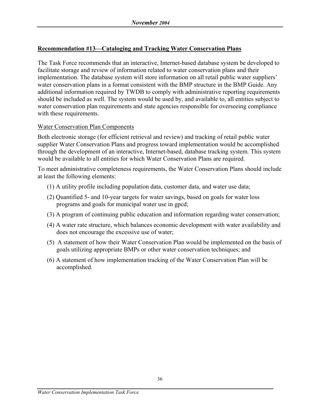# **Recommendation #13—Cataloging and Tracking Water Conservation Plans**

The Task Force recommends that an interactive, Internet-based database system be developed to facilitate storage and review of information related to water conservation plans and their implementation. The database system will store information on all retail public water suppliers' water conservation plans in a format consistent with the BMP structure in the BMP Guide. Any additional information required by TWDB to comply with administrative reporting requirements should be included as well. The system would be used by, and available to, all entities subject to water conservation plan requirements and state agencies responsible for overseeing compliance with these requirements.

# Water Conservation Plan Components

Both electronic storage (for efficient retrieval and review) and tracking of retail public water supplier Water Conservation Plans and progress toward implementation would be accomplished through the development of an interactive, Internet-based, database tracking system. This system would be available to all entities for which Water Conservation Plans are required.

To meet administrative completeness requirements, the Water Conservation Plans should include at least the following elements:

- (1) A utility profile including population data, customer data, and water use data;
- (2) Quantified 5- and 10-year targets for water savings, based on goals for water loss programs and goals for municipal water use in gpcd;
- (3) A program of continuing public education and information regarding water conservation;
- (4) A water rate structure, which balances economic development with water availability and does not encourage the excessive use of water;
- (5) A statement of how their Water Conservation Plan would be implemented on the basis of goals utilizing appropriate BMPs or other water conservation techniques; and
- (6) A statement of how implementation tracking of the Water Conservation Plan will be accomplished.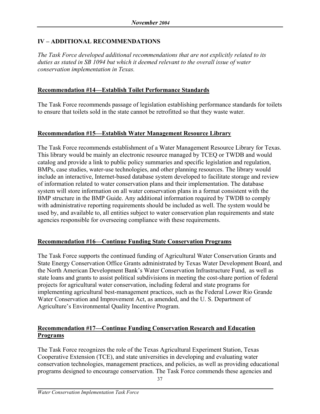# **IV – ADDITIONAL RECOMMENDATIONS**

*The Task Force developed additional recommendations that are not explicitly related to its duties as stated in SB 1094 but which it deemed relevant to the overall issue of water conservation implementation in Texas.* 

#### **Recommendation #14—Establish Toilet Performance Standards**

The Task Force recommends passage of legislation establishing performance standards for toilets to ensure that toilets sold in the state cannot be retrofitted so that they waste water.

#### **Recommendation #15—Establish Water Management Resource Library**

The Task Force recommends establishment of a Water Management Resource Library for Texas. This library would be mainly an electronic resource managed by TCEQ or TWDB and would catalog and provide a link to public policy summaries and specific legislation and regulation, BMPs, case studies, water-use technologies, and other planning resources. The library would include an interactive, Internet-based database system developed to facilitate storage and review of information related to water conservation plans and their implementation. The database system will store information on all water conservation plans in a format consistent with the BMP structure in the BMP Guide. Any additional information required by TWDB to comply with administrative reporting requirements should be included as well. The system would be used by, and available to, all entities subject to water conservation plan requirements and state agencies responsible for overseeing compliance with these requirements.

#### **Recommendation #16—Continue Funding State Conservation Programs**

The Task Force supports the continued funding of Agricultural Water Conservation Grants and State Energy Conservation Office Grants administrated by Texas Water Development Board, and the North American Development Bank's Water Conservation Infrastructure Fund, as well as state loans and grants to assist political subdivisions in meeting the cost-share portion of federal projects for agricultural water conservation, including federal and state programs for implementing agricultural best-management practices, such as the Federal Lower Rio Grande Water Conservation and Improvement Act, as amended, and the U. S. Department of Agriculture's Environmental Quality Incentive Program.

#### **Recommendation #17—Continue Funding Conservation Research and Education Programs**

The Task Force recognizes the role of the Texas Agricultural Experiment Station, Texas Cooperative Extension (TCE), and state universities in developing and evaluating water conservation technologies, management practices, and policies, as well as providing educational programs designed to encourage conservation. The Task Force commends these agencies and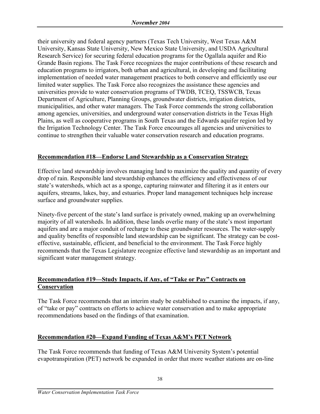their university and federal agency partners (Texas Tech University, West Texas A&M University, Kansas State University, New Mexico State University, and USDA Agricultural Research Service) for securing federal education programs for the Ogallala aquifer and Rio Grande Basin regions. The Task Force recognizes the major contributions of these research and education programs to irrigators, both urban and agricultural, in developing and facilitating implementation of needed water management practices to both conserve and efficiently use our limited water supplies. The Task Force also recognizes the assistance these agencies and universities provide to water conservation programs of TWDB, TCEQ, TSSWCB, Texas Department of Agriculture, Planning Groups, groundwater districts, irrigation districts, municipalities, and other water managers. The Task Force commends the strong collaboration among agencies, universities, and underground water conservation districts in the Texas High Plains, as well as cooperative programs in South Texas and the Edwards aquifer region led by the Irrigation Technology Center. The Task Force encourages all agencies and universities to continue to strengthen their valuable water conservation research and education programs.

# **Recommendation #18—Endorse Land Stewardship as a Conservation Strategy**

Effective land stewardship involves managing land to maximize the quality and quantity of every drop of rain. Responsible land stewardship enhances the efficiency and effectiveness of our state's watersheds, which act as a sponge, capturing rainwater and filtering it as it enters our aquifers, streams, lakes, bay, and estuaries. Proper land management techniques help increase surface and groundwater supplies.

Ninety-five percent of the state's land surface is privately owned, making up an overwhelming majority of all watersheds. In addition, these lands overlie many of the state's most important aquifers and are a major conduit of recharge to these groundwater resources. The water-supply and quality benefits of responsible land stewardship can be significant. The strategy can be costeffective, sustainable, efficient, and beneficial to the environment. The Task Force highly recommends that the Texas Legislature recognize effective land stewardship as an important and significant water management strategy.

#### **Recommendation #19—Study Impacts, if Any, of "Take or Pay" Contracts on Conservation**

The Task Force recommends that an interim study be established to examine the impacts, if any, of "take or pay" contracts on efforts to achieve water conservation and to make appropriate recommendations based on the findings of that examination.

# **Recommendation #20—Expand Funding of Texas A&M's PET Network**

The Task Force recommends that funding of Texas A&M University System's potential evapotranspiration (PET) network be expanded in order that more weather stations are on-line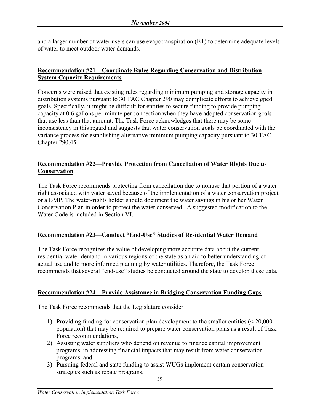and a larger number of water users can use evapotranspiration (ET) to determine adequate levels of water to meet outdoor water demands.

# **Recommendation #21—Coordinate Rules Regarding Conservation and Distribution System Capacity Requirements**

Concerns were raised that existing rules regarding minimum pumping and storage capacity in distribution systems pursuant to 30 TAC Chapter 290 may complicate efforts to achieve gpcd goals. Specifically, it might be difficult for entities to secure funding to provide pumping capacity at 0.6 gallons per minute per connection when they have adopted conservation goals that use less than that amount. The Task Force acknowledges that there may be some inconsistency in this regard and suggests that water conservation goals be coordinated with the variance process for establishing alternative minimum pumping capacity pursuant to 30 TAC Chapter 290.45.

### **Recommendation #22—Provide Protection from Cancellation of Water Rights Due to Conservation**

The Task Force recommends protecting from cancellation due to nonuse that portion of a water right associated with water saved because of the implementation of a water conservation project or a BMP. The water-rights holder should document the water savings in his or her Water Conservation Plan in order to protect the water conserved. A suggested modification to the Water Code is included in Section VI.

# **Recommendation #23—Conduct "End-Use" Studies of Residential Water Demand**

The Task Force recognizes the value of developing more accurate data about the current residential water demand in various regions of the state as an aid to better understanding of actual use and to more informed planning by water utilities. Therefore, the Task Force recommends that several "end-use" studies be conducted around the state to develop these data.

#### **Recommendation #24—Provide Assistance in Bridging Conservation Funding Gaps**

The Task Force recommends that the Legislature consider

- 1) Providing funding for conservation plan development to the smaller entities (< 20,000 population) that may be required to prepare water conservation plans as a result of Task Force recommendations,
- 2) Assisting water suppliers who depend on revenue to finance capital improvement programs, in addressing financial impacts that may result from water conservation programs, and
- 3) Pursuing federal and state funding to assist WUGs implement certain conservation strategies such as rebate programs.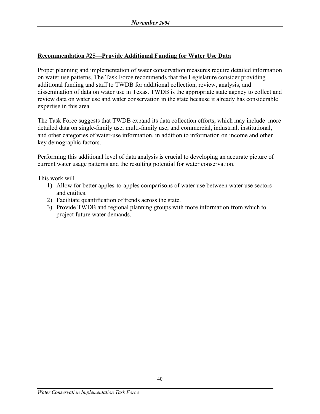# **Recommendation #25—Provide Additional Funding for Water Use Data**

Proper planning and implementation of water conservation measures require detailed information on water use patterns. The Task Force recommends that the Legislature consider providing additional funding and staff to TWDB for additional collection, review, analysis, and dissemination of data on water use in Texas. TWDB is the appropriate state agency to collect and review data on water use and water conservation in the state because it already has considerable expertise in this area.

The Task Force suggests that TWDB expand its data collection efforts, which may include more detailed data on single-family use; multi-family use; and commercial, industrial, institutional, and other categories of water-use information, in addition to information on income and other key demographic factors.

Performing this additional level of data analysis is crucial to developing an accurate picture of current water usage patterns and the resulting potential for water conservation.

This work will

- 1) Allow for better apples-to-apples comparisons of water use between water use sectors and entities.
- 2) Facilitate quantification of trends across the state.
- 3) Provide TWDB and regional planning groups with more information from which to project future water demands.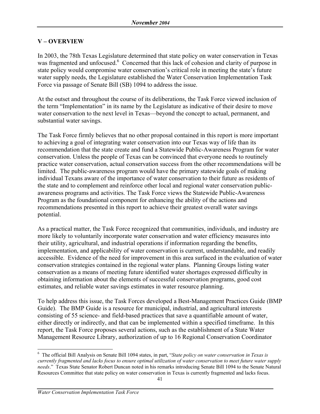#### **V – OVERVIEW**

In 2003, the 78th Texas Legislature determined that state policy on water conservation in Texas was fragmented and unfocused.<sup>6</sup> Concerned that this lack of cohesion and clarity of purpose in state policy would compromise water conservation's critical role in meeting the state's future water supply needs, the Legislature established the Water Conservation Implementation Task Force via passage of Senate Bill (SB) 1094 to address the issue.

At the outset and throughout the course of its deliberations, the Task Force viewed inclusion of the term "Implementation" in its name by the Legislature as indicative of their desire to move water conservation to the next level in Texas—beyond the concept to actual, permanent, and substantial water savings.

The Task Force firmly believes that no other proposal contained in this report is more important to achieving a goal of integrating water conservation into our Texas way of life than its recommendation that the state create and fund a Statewide Public-Awareness Program for water conservation. Unless the people of Texas can be convinced that everyone needs to routinely practice water conservation, actual conservation success from the other recommendations will be limited. The public-awareness program would have the primary statewide goals of making individual Texans aware of the importance of water conservation to their future as residents of the state and to complement and reinforce other local and regional water conservation publicawareness programs and activities. The Task Force views the Statewide Public-Awareness Program as the foundational component for enhancing the ability of the actions and recommendations presented in this report to achieve their greatest overall water savings potential.

As a practical matter, the Task Force recognized that communities, individuals, and industry are more likely to voluntarily incorporate water conservation and water efficiency measures into their utility, agricultural, and industrial operations if information regarding the benefits, implementation, and applicability of water conservation is current, understandable, and readily accessible. Evidence of the need for improvement in this area surfaced in the evaluation of water conservation strategies contained in the regional water plans. Planning Groups listing water conservation as a means of meeting future identified water shortages expressed difficulty in obtaining information about the elements of successful conservation programs, good cost estimates, and reliable water savings estimates in water resource planning.

To help address this issue, the Task Forces developed a Best-Management Practices Guide (BMP Guide). The BMP Guide is a resource for municipal, industrial, and agricultural interests consisting of 55 science- and field-based practices that save a quantifiable amount of water, either directly or indirectly, and that can be implemented within a specified timeframe. In this report, the Task Force proposes several actions, such as the establishment of a State Water Management Resource Library, authorization of up to 16 Regional Conservation Coordinator

 $\overline{a}$ 

<sup>6</sup> The official Bill Analysis on Senate Bill 1094 states, in part, "*State policy on water conservation in Texas is currently fragmented and lacks focus to ensure optimal utilization of water conservation to meet future water supply needs*." Texas State Senator Robert Duncan noted in his remarks introducing Senate Bill 1094 to the Senate Natural Resources Committee that state policy on water conservation in Texas is currently fragmented and lacks focus.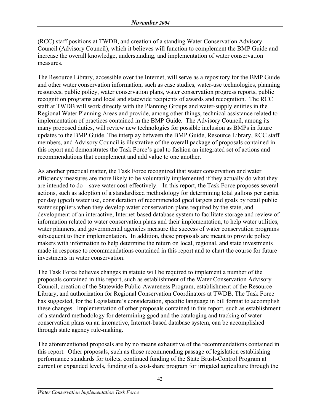(RCC) staff positions at TWDB, and creation of a standing Water Conservation Advisory Council (Advisory Council), which it believes will function to complement the BMP Guide and increase the overall knowledge, understanding, and implementation of water conservation measures.

The Resource Library, accessible over the Internet, will serve as a repository for the BMP Guide and other water conservation information, such as case studies, water-use technologies, planning resources, public policy, water conservation plans, water conservation progress reports, public recognition programs and local and statewide recipients of awards and recognition. The RCC staff at TWDB will work directly with the Planning Groups and water-supply entities in the Regional Water Planning Areas and provide, among other things, technical assistance related to implementation of practices contained in the BMP Guide. The Advisory Council, among its many proposed duties, will review new technologies for possible inclusion as BMPs in future updates to the BMP Guide. The interplay between the BMP Guide, Resource Library, RCC staff members, and Advisory Council is illustrative of the overall package of proposals contained in this report and demonstrates the Task Force's goal to fashion an integrated set of actions and recommendations that complement and add value to one another.

As another practical matter, the Task Force recognized that water conservation and water efficiency measures are more likely to be voluntarily implemented if they actually do what they are intended to do—save water cost-effectively. In this report, the Task Force proposes several actions, such as adoption of a standardized methodology for determining total gallons per capita per day (gpcd) water use, consideration of recommended gpcd targets and goals by retail public water suppliers when they develop water conservation plans required by the state, and development of an interactive, Internet-based database system to facilitate storage and review of information related to water conservation plans and their implementation, to help water utilities, water planners, and governmental agencies measure the success of water conservation programs subsequent to their implementation. In addition, these proposals are meant to provide policy makers with information to help determine the return on local, regional, and state investments made in response to recommendations contained in this report and to chart the course for future investments in water conservation.

The Task Force believes changes in statute will be required to implement a number of the proposals contained in this report, such as establishment of the Water Conservation Advisory Council, creation of the Statewide Public-Awareness Program, establishment of the Resource Library, and authorization for Regional Conservation Coordinators at TWDB. The Task Force has suggested, for the Legislature's consideration, specific language in bill format to accomplish these changes. Implementation of other proposals contained in this report, such as establishment of a standard methodology for determining gpcd and the cataloging and tracking of water conservation plans on an interactive, Internet-based database system, can be accomplished through state agency rule-making.

The aforementioned proposals are by no means exhaustive of the recommendations contained in this report. Other proposals, such as those recommending passage of legislation establishing performance standards for toilets, continued funding of the State Brush-Control Program at current or expanded levels, funding of a cost-share program for irrigated agriculture through the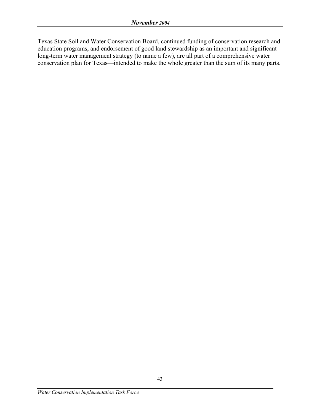Texas State Soil and Water Conservation Board, continued funding of conservation research and education programs, and endorsement of good land stewardship as an important and significant long-term water management strategy (to name a few), are all part of a comprehensive water conservation plan for Texas—intended to make the whole greater than the sum of its many parts.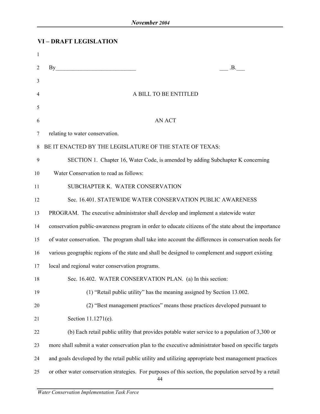|  |  | <b>VI-DRAFT LEGISLATION</b> |  |
|--|--|-----------------------------|--|
|--|--|-----------------------------|--|

| 1  |                                                                                                               |
|----|---------------------------------------------------------------------------------------------------------------|
| 2  | .B.                                                                                                           |
| 3  |                                                                                                               |
| 4  | A BILL TO BE ENTITLED                                                                                         |
| 5  |                                                                                                               |
| 6  | <b>AN ACT</b>                                                                                                 |
| 7  | relating to water conservation.                                                                               |
| 8  | BE IT ENACTED BY THE LEGISLATURE OF THE STATE OF TEXAS:                                                       |
| 9  | SECTION 1. Chapter 16, Water Code, is amended by adding Subchapter K concerning                               |
| 10 | Water Conservation to read as follows:                                                                        |
| 11 | SUBCHAPTER K. WATER CONSERVATION                                                                              |
| 12 | Sec. 16.401. STATEWIDE WATER CONSERVATION PUBLIC AWARENESS                                                    |
| 13 | PROGRAM. The executive administrator shall develop and implement a statewide water                            |
| 14 | conservation public-awareness program in order to educate citizens of the state about the importance          |
| 15 | of water conservation. The program shall take into account the differences in conservation needs for          |
| 16 | various geographic regions of the state and shall be designed to complement and support existing              |
| 17 | local and regional water conservation programs.                                                               |
| 18 | Sec. 16.402. WATER CONSERVATION PLAN. (a) In this section:                                                    |
| 19 | (1) "Retail public utility" has the meaning assigned by Section 13.002.                                       |
| 20 | (2) "Best management practices" means those practices developed pursuant to                                   |
| 21 | Section 11.1271(e).                                                                                           |
| 22 | (b) Each retail public utility that provides potable water service to a population of $3,300$ or              |
| 23 | more shall submit a water conservation plan to the executive administrator based on specific targets          |
| 24 | and goals developed by the retail public utility and utilizing appropriate best management practices          |
| 25 | or other water conservation strategies. For purposes of this section, the population served by a retail<br>44 |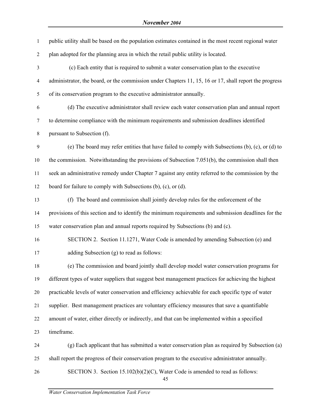| $\mathbf{1}$   | public utility shall be based on the population estimates contained in the most recent regional water  |
|----------------|--------------------------------------------------------------------------------------------------------|
| $\overline{2}$ | plan adopted for the planning area in which the retail public utility is located.                      |
| 3              | (c) Each entity that is required to submit a water conservation plan to the executive                  |
| $\overline{4}$ | administrator, the board, or the commission under Chapters 11, 15, 16 or 17, shall report the progress |
| 5              | of its conservation program to the executive administrator annually.                                   |
| 6              | (d) The executive administrator shall review each water conservation plan and annual report            |
| $\tau$         | to determine compliance with the minimum requirements and submission deadlines identified              |
| $8\,$          | pursuant to Subsection (f).                                                                            |
| 9              | (e) The board may refer entities that have failed to comply with Subsections (b), (c), or (d) to       |
| 10             | the commission. Notwithstanding the provisions of Subsection 7.051(b), the commission shall then       |
| 11             | seek an administrative remedy under Chapter 7 against any entity referred to the commission by the     |
| 12             | board for failure to comply with Subsections (b), (c), or (d).                                         |
| 13             | (f) The board and commission shall jointly develop rules for the enforcement of the                    |
| 14             | provisions of this section and to identify the minimum requirements and submission deadlines for the   |
| 15             | water conservation plan and annual reports required by Subsections (b) and (c).                        |
| 16             | SECTION 2. Section 11.1271, Water Code is amended by amending Subsection (e) and                       |
| 17             | adding Subsection (g) to read as follows:                                                              |
| 18             | (e) The commission and board jointly shall develop model water conservation programs for               |
| 19             | different types of water suppliers that suggest best management practices for achieving the highest    |
| 20             | practicable levels of water conservation and efficiency achievable for each specific type of water     |
| 21             | supplier. Best management practices are voluntary efficiency measures that save a quantifiable         |
| 22             | amount of water, either directly or indirectly, and that can be implemented within a specified         |
| 23             | timeframe.                                                                                             |
| 24             | (g) Each applicant that has submitted a water conservation plan as required by Subsection (a)          |
| 25             | shall report the progress of their conservation program to the executive administrator annually.       |
| 26             | SECTION 3. Section 15.102(b)(2)(C), Water Code is amended to read as follows:<br>45                    |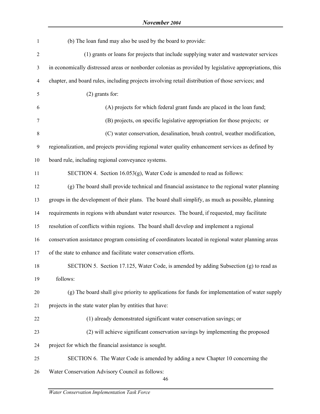| $\mathbf{1}$   | (b) The loan fund may also be used by the board to provide:                                            |
|----------------|--------------------------------------------------------------------------------------------------------|
| $\overline{c}$ | (1) grants or loans for projects that include supplying water and wastewater services                  |
| $\mathfrak{Z}$ | in economically distressed areas or nonborder colonias as provided by legislative appropriations, this |
| $\overline{4}$ | chapter, and board rules, including projects involving retail distribution of those services; and      |
| 5              | $(2)$ grants for:                                                                                      |
| 6              | (A) projects for which federal grant funds are placed in the loan fund;                                |
| 7              | (B) projects, on specific legislative appropriation for those projects; or                             |
| 8              | (C) water conservation, desalination, brush control, weather modification,                             |
| $\mathbf{9}$   | regionalization, and projects providing regional water quality enhancement services as defined by      |
| 10             | board rule, including regional conveyance systems.                                                     |
| 11             | SECTION 4. Section 16.053(g), Water Code is amended to read as follows:                                |
| 12             | (g) The board shall provide technical and financial assistance to the regional water planning          |
| 13             | groups in the development of their plans. The board shall simplify, as much as possible, planning      |
| 14             | requirements in regions with abundant water resources. The board, if requested, may facilitate         |
| 15             | resolution of conflicts within regions. The board shall develop and implement a regional               |
| 16             | conservation assistance program consisting of coordinators located in regional water planning areas    |
| 17             | of the state to enhance and facilitate water conservation efforts.                                     |
| 18             | SECTION 5. Section 17.125, Water Code, is amended by adding Subsection (g) to read as                  |
| 19             | follows:                                                                                               |
| 20             | (g) The board shall give priority to applications for funds for implementation of water supply         |
| 21             | projects in the state water plan by entities that have:                                                |
| 22             | (1) already demonstrated significant water conservation savings; or                                    |
| 23             | (2) will achieve significant conservation savings by implementing the proposed                         |
| 24             | project for which the financial assistance is sought.                                                  |
| 25             | SECTION 6. The Water Code is amended by adding a new Chapter 10 concerning the                         |
| 26             | Water Conservation Advisory Council as follows:                                                        |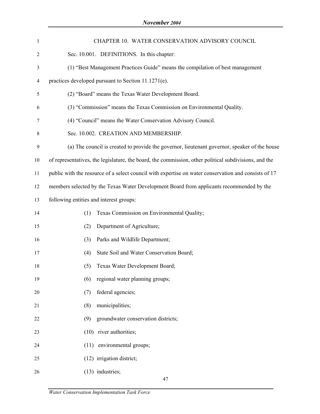| $\mathbf{1}$   | CHAPTER 10. WATER CONSERVATION ADVISORY COUNCIL                                                       |
|----------------|-------------------------------------------------------------------------------------------------------|
| $\overline{2}$ | Sec. 10.001. DEFINITIONS. In this chapter:                                                            |
| 3              | (1) "Best Management Practices Guide" means the compilation of best management                        |
| 4              | practices developed pursuant to Section 11.1271(e).                                                   |
| 5              | (2) "Board" means the Texas Water Development Board.                                                  |
| 6              | (3) "Commission" means the Texas Commission on Environmental Quality.                                 |
| 7              | (4) "Council" means the Water Conservation Advisory Council.                                          |
| 8              | Sec. 10.002. CREATION AND MEMBERSHIP.                                                                 |
| 9              | (a) The council is created to provide the governor, lieutenant governor, speaker of the house         |
| 10             | of representatives, the legislature, the board, the commission, other political subdivisions, and the |
| 11             | public with the resource of a select council with expertise on water conservation and consists of 17  |
| 12             | members selected by the Texas Water Development Board from applicants recommended by the              |
| 13             | following entities and interest groups:                                                               |
| 14             | Texas Commission on Environmental Quality;<br>(1)                                                     |
| 15             | Department of Agriculture;<br>(2)                                                                     |
| 16             | Parks and Wildlife Department;<br>(3)                                                                 |
| 17             | State Soil and Water Conservation Board;<br>(4)                                                       |
| 18             | Texas Water Development Board;<br>(5)                                                                 |
| 19             | regional water planning groups;<br>(6)                                                                |
| 20             | federal agencies;<br>(7)                                                                              |
| 21             | municipalities;<br>(8)                                                                                |
| 22             | groundwater conservation districts;<br>(9)                                                            |
| 23             | (10) river authorities;                                                                               |
| 24             | (11) environmental groups;                                                                            |
| 25             | (12) irrigation district;                                                                             |
| 26             | $(13)$ industries;<br>47                                                                              |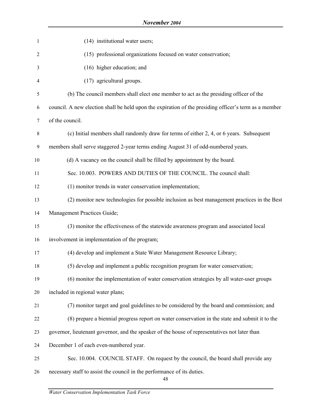| $\mathbf{1}$   | (14) institutional water users;                                                                       |
|----------------|-------------------------------------------------------------------------------------------------------|
| $\overline{2}$ | (15) professional organizations focused on water conservation;                                        |
| 3              | (16) higher education; and                                                                            |
| $\overline{4}$ | (17) agricultural groups.                                                                             |
| 5              | (b) The council members shall elect one member to act as the presiding officer of the                 |
| 6              | council. A new election shall be held upon the expiration of the presiding officer's term as a member |
| 7              | of the council.                                                                                       |
| $8\,$          | (c) Initial members shall randomly draw for terms of either 2, 4, or 6 years. Subsequent              |
| 9              | members shall serve staggered 2-year terms ending August 31 of odd-numbered years.                    |
| 10             | (d) A vacancy on the council shall be filled by appointment by the board.                             |
| 11             | Sec. 10.003. POWERS AND DUTIES OF THE COUNCIL. The council shall:                                     |
| 12             | (1) monitor trends in water conservation implementation;                                              |
| 13             | (2) monitor new technologies for possible inclusion as best management practices in the Best          |
| 14             | Management Practices Guide;                                                                           |
| 15             | (3) monitor the effectiveness of the statewide awareness program and associated local                 |
| 16             | involvement in implementation of the program;                                                         |
| 17             | (4) develop and implement a State Water Management Resource Library;                                  |
| 18             | (5) develop and implement a public recognition program for water conservation;                        |
| 19             | (6) monitor the implementation of water conservation strategies by all water-user groups              |
| 20             | included in regional water plans;                                                                     |
| 21             | (7) monitor target and goal guidelines to be considered by the board and commission; and              |
| 22             | (8) prepare a biennial progress report on water conservation in the state and submit it to the        |
| 23             | governor, lieutenant governor, and the speaker of the house of representatives not later than         |
| 24             | December 1 of each even-numbered year.                                                                |
| 25             | Sec. 10.004. COUNCIL STAFF. On request by the council, the board shall provide any                    |
| 26             | necessary staff to assist the council in the performance of its duties.                               |

48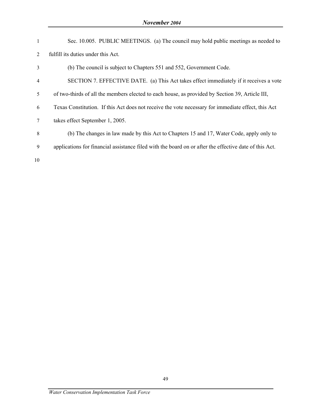| -1 | Sec. 10.005. PUBLIC MEETINGS. (a) The council may hold public meetings as needed to                    |
|----|--------------------------------------------------------------------------------------------------------|
| 2  | fulfill its duties under this Act.                                                                     |
| 3  | (b) The council is subject to Chapters 551 and 552, Government Code.                                   |
| 4  | SECTION 7. EFFECTIVE DATE. (a) This Act takes effect immediately if it receives a vote                 |
| 5  | of two-thirds of all the members elected to each house, as provided by Section 39, Article III,        |
| 6  | Texas Constitution. If this Act does not receive the vote necessary for immediate effect, this Act     |
| 7  | takes effect September 1, 2005.                                                                        |
| 8  | (b) The changes in law made by this Act to Chapters 15 and 17, Water Code, apply only to               |
| 9  | applications for financial assistance filed with the board on or after the effective date of this Act. |
| 10 |                                                                                                        |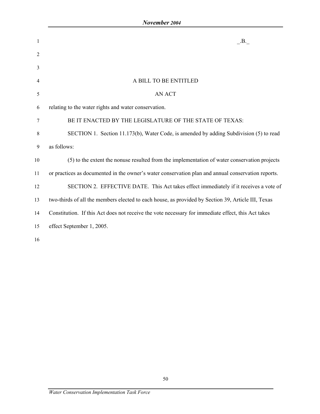| $\mathbf{1}$ | .B.                                                                                                |
|--------------|----------------------------------------------------------------------------------------------------|
| 2            |                                                                                                    |
| 3            |                                                                                                    |
| 4            | A BILL TO BE ENTITLED                                                                              |
| 5            | <b>AN ACT</b>                                                                                      |
| 6            | relating to the water rights and water conservation.                                               |
| 7            | BE IT ENACTED BY THE LEGISLATURE OF THE STATE OF TEXAS:                                            |
| $\,8\,$      | SECTION 1. Section 11.173(b), Water Code, is amended by adding Subdivision (5) to read             |
| 9            | as follows:                                                                                        |
| 10           | (5) to the extent the nonuse resulted from the implementation of water conservation projects       |
| 11           | or practices as documented in the owner's water conservation plan and annual conservation reports. |
| 12           | SECTION 2. EFFECTIVE DATE. This Act takes effect immediately if it receives a vote of              |
| 13           | two-thirds of all the members elected to each house, as provided by Section 39, Article III, Texas |
| 14           | Constitution. If this Act does not receive the vote necessary for immediate effect, this Act takes |
| 15           | effect September 1, 2005.                                                                          |
| 16           |                                                                                                    |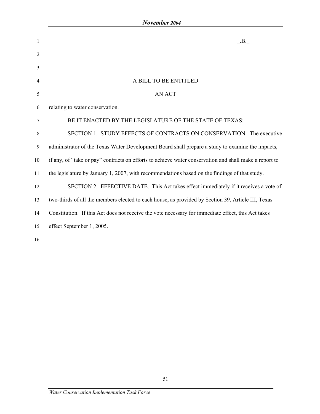| 1  | .B.                                                                                                    |
|----|--------------------------------------------------------------------------------------------------------|
| 2  |                                                                                                        |
| 3  |                                                                                                        |
| 4  | A BILL TO BE ENTITLED                                                                                  |
| 5  | <b>AN ACT</b>                                                                                          |
| 6  | relating to water conservation.                                                                        |
| 7  | BE IT ENACTED BY THE LEGISLATURE OF THE STATE OF TEXAS:                                                |
| 8  | SECTION 1. STUDY EFFECTS OF CONTRACTS ON CONSERVATION. The executive                                   |
| 9  | administrator of the Texas Water Development Board shall prepare a study to examine the impacts,       |
| 10 | if any, of "take or pay" contracts on efforts to achieve water conservation and shall make a report to |
| 11 | the legislature by January 1, 2007, with recommendations based on the findings of that study.          |
| 12 | SECTION 2. EFFECTIVE DATE. This Act takes effect immediately if it receives a vote of                  |
| 13 | two-thirds of all the members elected to each house, as provided by Section 39, Article III, Texas     |
| 14 | Constitution. If this Act does not receive the vote necessary for immediate effect, this Act takes     |
| 15 | effect September 1, 2005.                                                                              |
| 16 |                                                                                                        |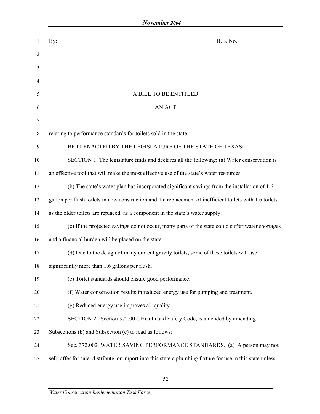| 1       | H.B. No.<br>By:                                                                                              |
|---------|--------------------------------------------------------------------------------------------------------------|
| 2       |                                                                                                              |
| 3       |                                                                                                              |
| 4       |                                                                                                              |
| 5       | A BILL TO BE ENTITLED                                                                                        |
| 6       | <b>AN ACT</b>                                                                                                |
| 7       |                                                                                                              |
| $\,8\,$ | relating to performance standards for toilets sold in the state.                                             |
| 9       | BE IT ENACTED BY THE LEGISLATURE OF THE STATE OF TEXAS:                                                      |
| 10      | SECTION 1. The legislature finds and declares all the following: (a) Water conservation is                   |
| 11      | an effective tool that will make the most effective use of the state's water resources.                      |
| 12      | (b) The state's water plan has incorporated significant savings from the installation of 1.6                 |
| 13      | gallon per flush toilets in new construction and the replacement of inefficient toilets with 1.6 toilets     |
| 14      | as the older toilets are replaced, as a component in the state's water supply.                               |
| 15      | (c) If the projected savings do not occur, many parts of the state could suffer water shortages              |
| 16      | and a financial burden will be placed on the state.                                                          |
| 17      | (d) Due to the design of many current gravity toilets, some of these toilets will use                        |
| 18      | significantly more than 1.6 gallons per flush.                                                               |
| 19      | (e) Toilet standards should ensure good performance.                                                         |
| 20      | (f) Water conservation results in reduced energy use for pumping and treatment.                              |
| 21      | (g) Reduced energy use improves air quality.                                                                 |
| 22      | SECTION 2. Section 372.002, Health and Safety Code, is amended by amending                                   |
| 23      | Subsections (b) and Subsection (c) to read as follows:                                                       |
| 24      | Sec. 372.002. WATER SAVING PERFORMANCE STANDARDS. (a) A person may not                                       |
| 25      | sell, offer for sale, distribute, or import into this state a plumbing fixture for use in this state unless: |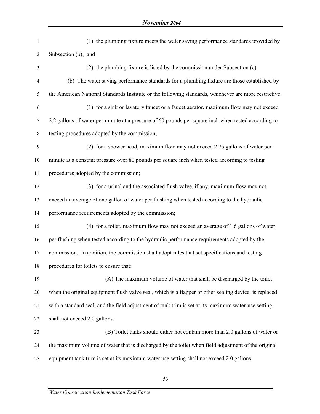| $\mathbf{1}$     | (1) the plumbing fixture meets the water saving performance standards provided by                     |
|------------------|-------------------------------------------------------------------------------------------------------|
| $\overline{2}$   | Subsection (b); and                                                                                   |
| $\mathfrak{Z}$   | (2) the plumbing fixture is listed by the commission under Subsection (c).                            |
| $\overline{4}$   | (b) The water saving performance standards for a plumbing fixture are those established by            |
| 5                | the American National Standards Institute or the following standards, whichever are more restrictive: |
| 6                | (1) for a sink or lavatory faucet or a faucet aerator, maximum flow may not exceed                    |
| 7                | 2.2 gallons of water per minute at a pressure of 60 pounds per square inch when tested according to   |
| 8                | testing procedures adopted by the commission;                                                         |
| $\boldsymbol{9}$ | (2) for a shower head, maximum flow may not exceed 2.75 gallons of water per                          |
| 10               | minute at a constant pressure over 80 pounds per square inch when tested according to testing         |
| 11               | procedures adopted by the commission;                                                                 |
| 12               | (3) for a urinal and the associated flush valve, if any, maximum flow may not                         |
| 13               | exceed an average of one gallon of water per flushing when tested according to the hydraulic          |
| 14               | performance requirements adopted by the commission;                                                   |
| 15               | (4) for a toilet, maximum flow may not exceed an average of 1.6 gallons of water                      |
| 16               | per flushing when tested according to the hydraulic performance requirements adopted by the           |
| 17               | commission. In addition, the commission shall adopt rules that set specifications and testing         |
| 18               | procedures for toilets to ensure that:                                                                |
| 19               | (A) The maximum volume of water that shall be discharged by the toilet                                |
| 20               | when the original equipment flush valve seal, which is a flapper or other sealing device, is replaced |
| 21               | with a standard seal, and the field adjustment of tank trim is set at its maximum water-use setting   |
| 22               | shall not exceed 2.0 gallons.                                                                         |
| 23               | (B) Toilet tanks should either not contain more than 2.0 gallons of water or                          |
| 24               | the maximum volume of water that is discharged by the toilet when field adjustment of the original    |
| 25               | equipment tank trim is set at its maximum water use setting shall not exceed 2.0 gallons.             |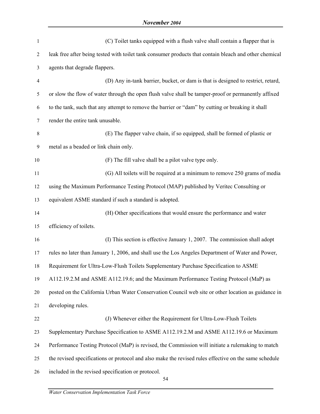| $\mathbf{1}$   | (C) Toilet tanks equipped with a flush valve shall contain a flapper that is                           |
|----------------|--------------------------------------------------------------------------------------------------------|
| $\overline{2}$ | leak free after being tested with toilet tank consumer products that contain bleach and other chemical |
| $\mathfrak{Z}$ | agents that degrade flappers.                                                                          |
| $\overline{4}$ | (D) Any in-tank barrier, bucket, or dam is that is designed to restrict, retard,                       |
| 5              | or slow the flow of water through the open flush valve shall be tamper-proof or permanently affixed    |
| 6              | to the tank, such that any attempt to remove the barrier or "dam" by cutting or breaking it shall      |
| 7              | render the entire tank unusable.                                                                       |
| $\,8\,$        | (E) The flapper valve chain, if so equipped, shall be formed of plastic or                             |
| 9              | metal as a beaded or link chain only.                                                                  |
| 10             | (F) The fill valve shall be a pilot valve type only.                                                   |
| 11             | (G) All toilets will be required at a minimum to remove 250 grams of media                             |
| 12             | using the Maximum Performance Testing Protocol (MAP) published by Veritec Consulting or                |
| 13             | equivalent ASME standard if such a standard is adopted.                                                |
| 14             | (H) Other specifications that would ensure the performance and water                                   |
| 15             | efficiency of toilets.                                                                                 |
| 16             | (I) This section is effective January 1, 2007. The commission shall adopt                              |
| 17             | rules no later than January 1, 2006, and shall use the Los Angeles Department of Water and Power,      |
| 18             | Requirement for Ultra-Low-Flush Toilets Supplementary Purchase Specification to ASME                   |
| 19             | A112.19.2.M and ASME A112.19.6; and the Maximum Performance Testing Protocol (MaP) as                  |
| 20             | posted on the California Urban Water Conservation Council web site or other location as guidance in    |
| 21             | developing rules.                                                                                      |
| 22             | (J) Whenever either the Requirement for Ultra-Low-Flush Toilets                                        |
| 23             | Supplementary Purchase Specification to ASME A112.19.2.M and ASME A112.19.6 or Maximum                 |
| 24             | Performance Testing Protocol (MaP) is revised, the Commission will initiate a rulemaking to match      |
| 25             | the revised specifications or protocol and also make the revised rules effective on the same schedule  |
| 26             | included in the revised specification or protocol.<br>54                                               |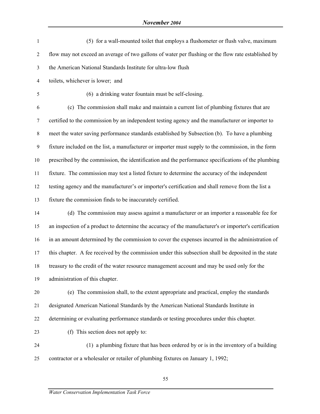| $\,1$          | (5) for a wall-mounted toilet that employs a flushometer or flush valve, maximum                       |
|----------------|--------------------------------------------------------------------------------------------------------|
| $\mathfrak{2}$ | flow may not exceed an average of two gallons of water per flushing or the flow rate established by    |
| $\mathfrak{Z}$ | the American National Standards Institute for ultra-low flush                                          |
| $\overline{4}$ | toilets, whichever is lower; and                                                                       |
| $\mathfrak s$  | (6) a drinking water fountain must be self-closing.                                                    |
| 6              | (c) The commission shall make and maintain a current list of plumbing fixtures that are                |
| $\tau$         | certified to the commission by an independent testing agency and the manufacturer or importer to       |
| $8\,$          | meet the water saving performance standards established by Subsection (b). To have a plumbing          |
| $\mathbf{9}$   | fixture included on the list, a manufacturer or importer must supply to the commission, in the form    |
| 10             | prescribed by the commission, the identification and the performance specifications of the plumbing    |
| 11             | fixture. The commission may test a listed fixture to determine the accuracy of the independent         |
| 12             | testing agency and the manufacturer's or importer's certification and shall remove from the list a     |
| 13             | fixture the commission finds to be inaccurately certified.                                             |
| 14             | (d) The commission may assess against a manufacturer or an importer a reasonable fee for               |
| 15             | an inspection of a product to determine the accuracy of the manufacturer's or importer's certification |
| 16             | in an amount determined by the commission to cover the expenses incurred in the administration of      |
| 17             | this chapter. A fee received by the commission under this subsection shall be deposited in the state   |
| 18             | treasury to the credit of the water resource management account and may be used only for the           |
| 19             | administration of this chapter.                                                                        |
| $20\,$         | (e) The commission shall, to the extent appropriate and practical, employ the standards                |
| 21             | designated American National Standards by the American National Standards Institute in                 |
| 22             | determining or evaluating performance standards or testing procedures under this chapter.              |
| 23             | (f) This section does not apply to:                                                                    |
| 24             | (1) a plumbing fixture that has been ordered by or is in the inventory of a building                   |
| 25             | contractor or a wholesaler or retailer of plumbing fixtures on January 1, 1992;                        |
|                |                                                                                                        |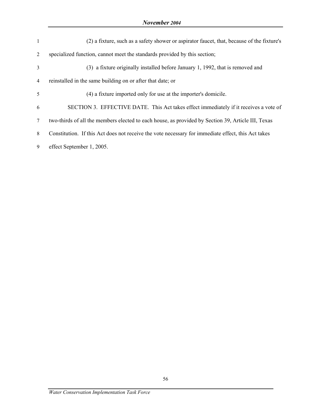| $\mathbf{1}$   | (2) a fixture, such as a safety shower or aspirator faucet, that, because of the fixture's         |
|----------------|----------------------------------------------------------------------------------------------------|
| 2              | specialized function, cannot meet the standards provided by this section;                          |
| 3              | (3) a fixture originally installed before January 1, 1992, that is removed and                     |
| $\overline{4}$ | reinstalled in the same building on or after that date; or                                         |
| 5              | (4) a fixture imported only for use at the importer's domicile.                                    |
| 6              | SECTION 3. EFFECTIVE DATE. This Act takes effect immediately if it receives a vote of              |
| 7              | two-thirds of all the members elected to each house, as provided by Section 39, Article III, Texas |
| 8              | Constitution. If this Act does not receive the vote necessary for immediate effect, this Act takes |
| 9              | effect September 1, 2005.                                                                          |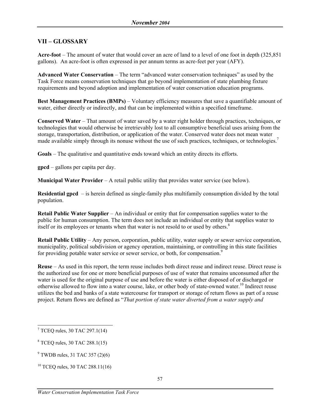#### **VII – GLOSSARY**

**Acre-foot** – The amount of water that would cover an acre of land to a level of one foot in depth (325,851 gallons). An acre-foot is often expressed in per annum terms as acre-feet per year (AFY).

**Advanced Water Conservation** – The term "advanced water conservation techniques" as used by the Task Force means conservation techniques that go beyond implementation of state plumbing fixture requirements and beyond adoption and implementation of water conservation education programs.

**Best Management Practices (BMPs)** – Voluntary efficiency measures that save a quantifiable amount of water, either directly or indirectly, and that can be implemented within a specified timeframe.

**Conserved Water** – That amount of water saved by a water right holder through practices, techniques, or technologies that would otherwise be irretrievably lost to all consumptive beneficial uses arising from the storage, transportation, distribution, or application of the water. Conserved water does not mean water made available simply through its nonuse without the use of such practices, techniques, or technologies.<sup>7</sup>

**Goals** – The qualitative and quantitative ends toward which an entity directs its efforts.

**gpcd** – gallons per capita per day.

**Municipal Water Provider** – A retail public utility that provides water service (see below).

**Residential gpcd** – is herein defined as single-family plus multifamily consumption divided by the total population.

**Retail Public Water Supplier** – An individual or entity that for compensation supplies water to the public for human consumption. The term does not include an individual or entity that supplies water to itself or its employees or tenants when that water is not resold to or used by others.<sup>8</sup>

**Retail Public Utility** – Any person, corporation, public utility, water supply or sewer service corporation, municipality, political subdivision or agency operation, maintaining, or controlling in this state facilities for providing potable water service or sewer service, or both, for compensation.<sup>9</sup>

**Reuse** – As used in this report, the term reuse includes both direct reuse and indirect reuse. Direct reuse is the authorized use for one or more beneficial purposes of use of water that remains unconsumed after the water is used for the original purpose of use and before the water is either disposed of or discharged or otherwise allowed to flow into a water course, lake, or other body of state-owned water.<sup>10</sup> Indirect reuse utilizes the bed and banks of a state watercourse for transport or storage of return flows as part of a reuse project. Return flows are defined as "*That portion of state water diverted from a water supply and* 

 $\overline{a}$ 7 TCEQ rules, 30 TAC 297.1(14)

<sup>8</sup> TCEQ rules, 30 TAC 288.1(15)

<sup>&</sup>lt;sup>9</sup> TWDB rules, 31 TAC 357 (2)(6)

<sup>10</sup> TCEQ rules, 30 TAC 288.11(16)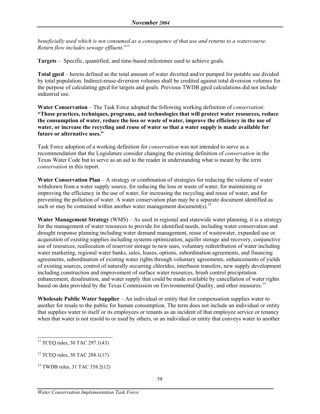*beneficially used which is not consumed as a consequence of that use and returns to a watercourse. Return flow includes sewage effluent*."11

**Targets** – Specific, quantified, and time-based milestones used to achieve goals.

**Total gpcd** – herein defined as the total amount of water diverted and/or pumped for potable use divided by total population. Indirect-reuse-diversion volumes shall be credited against total diversion volumes for the purpose of calculating gpcd for targets and goals. Previous TWDB gpcd calculations did not include industrial use.

**Water Conservation** – The Task Force adopted the following working definition of *conservation*: **"Those practices, techniques, programs, and technologies that will protect water resources, reduce the consumption of water, reduce the loss or waste of water, improve the efficiency in the use of water, or increase the recycling and reuse of water so that a water supply is made available for future or alternative uses."** 

Task Force adoption of a working definition for *conservation* was not intended to serve as a recommendation that the Legislature consider changing the existing definition of *conservation* in the Texas Water Code but to serve as an aid to the reader in understanding what is meant by the term *conservation* in this report.

**Water Conservation Plan** – A strategy or combination of strategies for reducing the volume of water withdrawn from a water supply source, for reducing the loss or waste of water, for maintaining or improving the efficiency in the use of water, for increasing the recycling and reuse of water, and for preventing the pollution of water. A water conservation plan may be a separate document identified as such or may be contained within another water management document(s).<sup>12</sup>

**Water Management Strategy** (WMS) – As used in regional and statewide water planning, it is a strategy for the management of water resources to provide for identified needs, including water conservation and drought response planning including water demand management, reuse of wastewater, expanded use or acquisition of existing supplies including systems optimization, aquifer storage and recovery, conjunctive use of resources, reallocation of reservoir storage to new uses, voluntary redistribution of water including water marketing, regional water banks, sales, leases, options, subordination agreements, and financing agreements, subordination of existing water rights through voluntary agreements, enhancements of yields of existing sources, control of naturally occurring chlorides, interbasin transfers, new supply development including construction and improvement of surface water resources, brush control precipitation enhancement, desalination, and water supply that could be made available by cancellation of water rights based on data provided by the Texas Commission on Environmental Quality, and other measures.<sup>13</sup>

Wholesale Public Water Supplier – An individual or entity that for compensation supplies water to another for resale to the public for human consumption. The term does not include an individual or entity that supplies water to itself or its employees or tenants as an incident of that employee service or tenancy when that water is not resold to or used by others, or an individual or entity that conveys water to another

 $\overline{a}$ 

 $11$  TCEQ rules, 30 TAC 297.1(43)

<sup>12</sup> TCEQ rules, 30 TAC 288.1(17)

<sup>13</sup> TWDB rules, 31 TAC 358.2(12)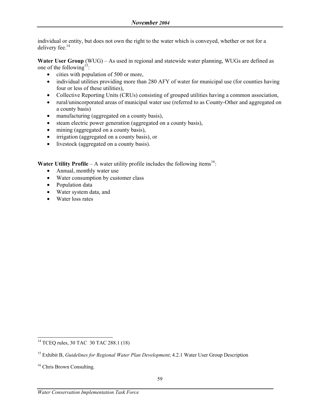individual or entity, but does not own the right to the water which is conveyed, whether or not for a delivery fee. $14$ 

**Water User Group** (WUG) – As used in regional and statewide water planning, WUGs are defined as one of the following<sup>15</sup>:

- cities with population of 500 or more,
- individual utilities providing more than 280 AFY of water for municipal use (for counties having four or less of these utilities),
- Collective Reporting Units (CRUs) consisting of grouped utilities having a common association,
- rural/unincorporated areas of municipal water use (referred to as County-Other and aggregated on a county basis)
- manufacturing (aggregated on a county basis),
- steam electric power generation (aggregated on a county basis),
- mining (aggregated on a county basis),
- irrigation (aggregated on a county basis), or
- livestock (aggregated on a county basis).

**Water Utility Profile** – A water utility profile includes the following items<sup>16</sup>:

- Annual, monthly water use
- Water consumption by customer class
- Population data
- Water system data, and
- Water loss rates

 $\overline{a}$ 

<sup>&</sup>lt;sup>14</sup> TCEQ rules, 30 TAC 30 TAC 288.1 (18)

<sup>&</sup>lt;sup>15</sup> Exhibit B, *Guidelines for Regional Water Plan Development*; 4.2.1 Water User Group Description

<sup>16</sup> Chris Brown Consulting.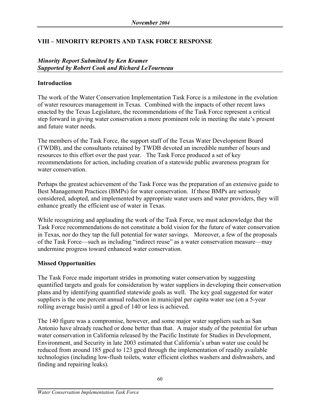# **VIII – MINORITY REPORTS AND TASK FORCE RESPONSE**

#### *Minority Report Submitted by Ken Kramer Supported by Robert Cook and Richard LeTourneau*

#### **Introduction**

The work of the Water Conservation Implementation Task Force is a milestone in the evolution of water resources management in Texas. Combined with the impacts of other recent laws enacted by the Texas Legislature, the recommendations of the Task Force represent a critical step forward in giving water conservation a more prominent role in meeting the state's present and future water needs.

The members of the Task Force, the support staff of the Texas Water Development Board (TWDB), and the consultants retained by TWDB devoted an incredible number of hours and resources to this effort over the past year. The Task Force produced a set of key recommendations for action, including creation of a statewide public awareness program for water conservation.

Perhaps the greatest achievement of the Task Force was the preparation of an extensive guide to Best Management Practices (BMPs) for water conservation. If these BMPs are seriously considered, adopted, and implemented by appropriate water users and water providers, they will enhance greatly the efficient use of water in Texas.

While recognizing and applauding the work of the Task Force, we must acknowledge that the Task Force recommendations do not constitute a bold vision for the future of water conservation in Texas, nor do they tap the full potential for water savings. Moreover, a few of the proposals of the Task Force—such as including "indirect reuse" as a water conservation measure—may undermine progress toward enhanced water conservation.

#### **Missed Opportunities**

The Task Force made important strides in promoting water conservation by suggesting quantified targets and goals for consideration by water suppliers in developing their conservation plans and by identifying quantified statewide goals as well. The key goal suggested for water suppliers is the one percent annual reduction in municipal per capita water use (on a 5-year rolling average basis) until a gpcd of 140 or less is achieved.

The 140 figure was a compromise, however, and some major water suppliers such as San Antonio have already reached or done better than that. A major study of the potential for urban water conservation in California released by the Pacific Institute for Studies in Development, Environment, and Security in late 2003 estimated that California's urban water use could be reduced from around 185 gpcd to 123 gpcd through the implementation of readily available technologies (including low-flush toilets, water efficient clothes washers and dishwashers, and finding and repairing leaks).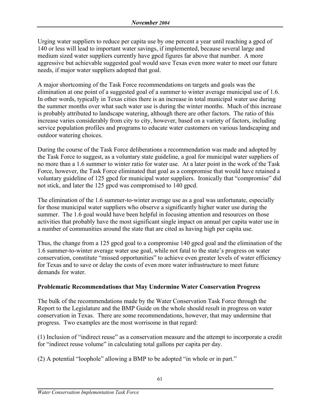Urging water suppliers to reduce per capita use by one percent a year until reaching a gpcd of 140 or less will lead to important water savings, if implemented, because several large and medium sized water suppliers currently have gpcd figures far above that number. A more aggressive but achievable suggested goal would save Texas even more water to meet our future needs, if major water suppliers adopted that goal.

A major shortcoming of the Task Force recommendations on targets and goals was the elimination at one point of a suggested goal of a summer to winter average municipal use of 1.6. In other words, typically in Texas cities there is an increase in total municipal water use during the summer months over what such water use is during the winter months. Much of this increase is probably attributed to landscape watering, although there are other factors. The ratio of this increase varies considerably from city to city, however, based on a variety of factors, including service population profiles and programs to educate water customers on various landscaping and outdoor watering choices.

During the course of the Task Force deliberations a recommendation was made and adopted by the Task Force to suggest, as a voluntary state guideline, a goal for municipal water suppliers of no more than a 1.6 summer to winter ratio for water use. At a later point in the work of the Task Force, however, the Task Force eliminated that goal as a compromise that would have retained a voluntary guideline of 125 gpcd for municipal water suppliers. Ironically that "compromise" did not stick, and later the 125 gpcd was compromised to 140 gpcd.

The elimination of the 1.6 summer-to-winter average use as a goal was unfortunate, especially for those municipal water suppliers who observe a significantly higher water use during the summer. The 1.6 goal would have been helpful in focusing attention and resources on those activities that probably have the most significant single impact on annual per capita water use in a number of communities around the state that are cited as having high per capita use.

Thus, the change from a 125 gpcd goal to a compromise 140 gpcd goal and the elimination of the 1.6 summer-to-winter average water use goal, while not fatal to the state's progress on water conservation, constitute "missed opportunities" to achieve even greater levels of water efficiency for Texas and to save or delay the costs of even more water infrastructure to meet future demands for water

#### **Problematic Recommendations that May Undermine Water Conservation Progress**

The bulk of the recommendations made by the Water Conservation Task Force through the Report to the Legislature and the BMP Guide on the whole should result in progress on water conservation in Texas. There are some recommendations, however, that may undermine that progress. Two examples are the most worrisome in that regard:

(1) Inclusion of "indirect reuse" as a conservation measure and the attempt to incorporate a credit for "indirect reuse volume" in calculating total gallons per capita per day.

(2) A potential "loophole" allowing a BMP to be adopted "in whole or in part."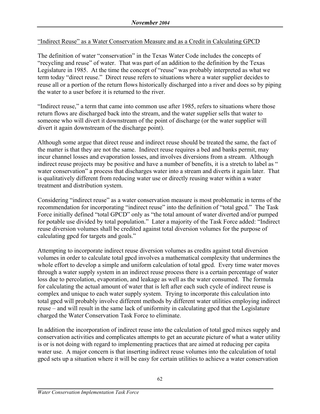# "Indirect Reuse" as a Water Conservation Measure and as a Credit in Calculating GPCD

The definition of water "conservation" in the Texas Water Code includes the concepts of "recycling and reuse" of water. That was part of an addition to the definition by the Texas Legislature in 1985. At the time the concept of "reuse" was probably interpreted as what we term today "direct reuse." Direct reuse refers to situations where a water supplier decides to reuse all or a portion of the return flows historically discharged into a river and does so by piping the water to a user before it is returned to the river.

"Indirect reuse," a term that came into common use after 1985, refers to situations where those return flows are discharged back into the stream, and the water supplier sells that water to someone who will divert it downstream of the point of discharge (or the water supplier will divert it again downstream of the discharge point).

Although some argue that direct reuse and indirect reuse should be treated the same, the fact of the matter is that they are not the same. Indirect reuse requires a bed and banks permit, may incur channel losses and evaporation losses, and involves diversions from a stream. Although indirect reuse projects may be positive and have a number of benefits, it is a stretch to label as " water conservation" a process that discharges water into a stream and diverts it again later. That is qualitatively different from reducing water use or directly reusing water within a water treatment and distribution system.

Considering "indirect reuse" as a water conservation measure is most problematic in terms of the recommendation for incorporating "indirect reuse" into the definition of "total gpcd." The Task Force initially defined "total GPCD" only as "the total amount of water diverted and/or pumped for potable use divided by total population." Later a majority of the Task Force added: "Indirect reuse diversion volumes shall be credited against total diversion volumes for the purpose of calculating gpcd for targets and goals."

Attempting to incorporate indirect reuse diversion volumes as credits against total diversion volumes in order to calculate total gpcd involves a mathematical complexity that undermines the whole effort to develop a simple and uniform calculation of total gpcd. Every time water moves through a water supply system in an indirect reuse process there is a certain percentage of water loss due to percolation, evaporation, and leakage as well as the water consumed. The formula for calculating the actual amount of water that is left after each such cycle of indirect reuse is complex and unique to each water supply system. Trying to incorporate this calculation into total gpcd will probably involve different methods by different water utilities employing indirect reuse – and will result in the same lack of uniformity in calculating gpcd that the Legislature charged the Water Conservation Task Force to eliminate.

In addition the incorporation of indirect reuse into the calculation of total gpcd mixes supply and conservation activities and complicates attempts to get an accurate picture of what a water utility is or is not doing with regard to implementing practices that are aimed at reducing per capita water use. A major concern is that inserting indirect reuse volumes into the calculation of total gpcd sets up a situation where it will be easy for certain utilities to achieve a water conservation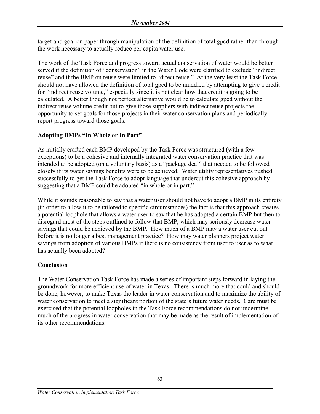target and goal on paper through manipulation of the definition of total gpcd rather than through the work necessary to actually reduce per capita water use.

The work of the Task Force and progress toward actual conservation of water would be better served if the definition of "conservation" in the Water Code were clarified to exclude "indirect reuse" and if the BMP on reuse were limited to "direct reuse." At the very least the Task Force should not have allowed the definition of total gpcd to be muddled by attempting to give a credit for "indirect reuse volume," especially since it is not clear how that credit is going to be calculated. A better though not perfect alternative would be to calculate gpcd without the indirect reuse volume credit but to give those suppliers with indirect reuse projects the opportunity to set goals for those projects in their water conservation plans and periodically report progress toward those goals.

## **Adopting BMPs "In Whole or In Part"**

As initially crafted each BMP developed by the Task Force was structured (with a few exceptions) to be a cohesive and internally integrated water conservation practice that was intended to be adopted (on a voluntary basis) as a "package deal" that needed to be followed closely if its water savings benefits were to be achieved. Water utility representatives pushed successfully to get the Task Force to adopt language that undercut this cohesive approach by suggesting that a BMP could be adopted "in whole or in part."

While it sounds reasonable to say that a water user should not have to adopt a BMP in its entirety (in order to allow it to be tailored to specific circumstances) the fact is that this approach creates a potential loophole that allows a water user to say that he has adopted a certain BMP but then to disregard most of the steps outlined to follow that BMP, which may seriously decrease water savings that could be achieved by the BMP. How much of a BMP may a water user cut out before it is no longer a best management practice? How may water planners project water savings from adoption of various BMPs if there is no consistency from user to user as to what has actually been adopted?

## **Conclusion**

The Water Conservation Task Force has made a series of important steps forward in laying the groundwork for more efficient use of water in Texas. There is much more that could and should be done, however, to make Texas the leader in water conservation and to maximize the ability of water conservation to meet a significant portion of the state's future water needs. Care must be exercised that the potential loopholes in the Task Force recommendations do not undermine much of the progress in water conservation that may be made as the result of implementation of its other recommendations.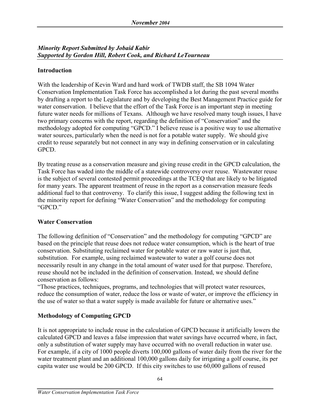## *Minority Report Submitted by Jobaid Kabir Supported by Gordon Hill, Robert Cook, and Richard LeTourneau*

## **Introduction**

With the leadership of Kevin Ward and hard work of TWDB staff, the SB 1094 Water Conservation Implementation Task Force has accomplished a lot during the past several months by drafting a report to the Legislature and by developing the Best Management Practice guide for water conservation. I believe that the effort of the Task Force is an important step in meeting future water needs for millions of Texans. Although we have resolved many tough issues, I have two primary concerns with the report, regarding the definition of "Conservation" and the methodology adopted for computing "GPCD." I believe reuse is a positive way to use alternative water sources, particularly when the need is not for a potable water supply. We should give credit to reuse separately but not connect in any way in defining conservation or in calculating GPCD.

By treating reuse as a conservation measure and giving reuse credit in the GPCD calculation, the Task Force has waded into the middle of a statewide controversy over reuse. Wastewater reuse is the subject of several contested permit proceedings at the TCEQ that are likely to be litigated for many years. The apparent treatment of reuse in the report as a conservation measure feeds additional fuel to that controversy. To clarify this issue, I suggest adding the following text in the minority report for defining "Water Conservation" and the methodology for computing "GPCD."

## **Water Conservation**

The following definition of "Conservation" and the methodology for computing "GPCD" are based on the principle that reuse does not reduce water consumption, which is the heart of true conservation. Substituting reclaimed water for potable water or raw water is just that, substitution. For example, using reclaimed wastewater to water a golf course does not necessarily result in any change in the total amount of water used for that purpose. Therefore, reuse should not be included in the definition of conservation. Instead, we should define conservation as follows:

"Those practices, techniques, programs, and technologies that will protect water resources, reduce the consumption of water, reduce the loss or waste of water, or improve the efficiency in the use of water so that a water supply is made available for future or alternative uses."

# **Methodology of Computing GPCD**

It is not appropriate to include reuse in the calculation of GPCD because it artificially lowers the calculated GPCD and leaves a false impression that water savings have occurred where, in fact, only a substitution of water supply may have occurred with no overall reduction in water use. For example, if a city of 1000 people diverts 100,000 gallons of water daily from the river for the water treatment plant and an additional 100,000 gallons daily for irrigating a golf course, its per capita water use would be 200 GPCD. If this city switches to use 60,000 gallons of reused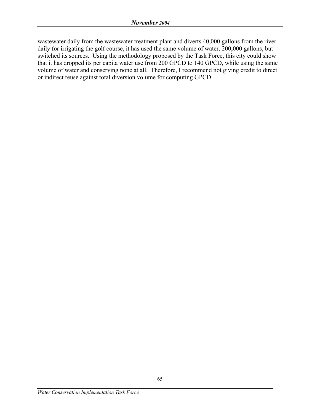wastewater daily from the wastewater treatment plant and diverts 40,000 gallons from the river daily for irrigating the golf course, it has used the same volume of water, 200,000 gallons, but switched its sources. Using the methodology proposed by the Task Force, this city could show that it has dropped its per capita water use from 200 GPCD to 140 GPCD, while using the same volume of water and conserving none at all. Therefore, I recommend not giving credit to direct or indirect reuse against total diversion volume for computing GPCD.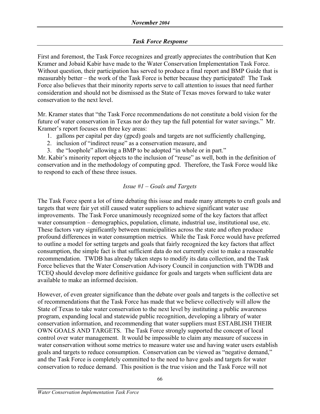# *Task Force Response*

First and foremost, the Task Force recognizes and greatly appreciates the contribution that Ken Kramer and Jobaid Kabir have made to the Water Conservation Implementation Task Force. Without question, their participation has served to produce a final report and BMP Guide that is measurably better – the work of the Task Force is better because they participated! The Task Force also believes that their minority reports serve to call attention to issues that need further consideration and should not be dismissed as the State of Texas moves forward to take water conservation to the next level.

Mr. Kramer states that "the Task Force recommendations do not constitute a bold vision for the future of water conservation in Texas nor do they tap the full potential for water savings." Mr. Kramer's report focuses on three key areas:

- 1. gallons per capital per day (gpcd) goals and targets are not sufficiently challenging,
- 2. inclusion of "indirect reuse" as a conservation measure, and
- 3. the "loophole" allowing a BMP to be adopted "in whole or in part."

Mr. Kabir's minority report objects to the inclusion of "reuse" as well, both in the definition of conservation and in the methodology of computing gpcd. Therefore, the Task Force would like to respond to each of these three issues.

# *Issue #1 – Goals and Targets*

The Task Force spent a lot of time debating this issue and made many attempts to craft goals and targets that were fair yet still caused water suppliers to achieve significant water use improvements. The Task Force unanimously recognized some of the key factors that affect water consumption – demographics, population, climate, industrial use, institutional use, etc. These factors vary significantly between municipalities across the state and often produce profound differences in water consumption metrics. While the Task Force would have preferred to outline a model for setting targets and goals that fairly recognized the key factors that affect consumption, the simple fact is that sufficient data do not currently exist to make a reasonable recommendation. TWDB has already taken steps to modify its data collection, and the Task Force believes that the Water Conservation Advisory Council in conjunction with TWDB and TCEQ should develop more definitive guidance for goals and targets when sufficient data are available to make an informed decision.

However, of even greater significance than the debate over goals and targets is the collective set of recommendations that the Task Force has made that we believe collectively will allow the State of Texas to take water conservation to the next level by instituting a public awareness program, expanding local and statewide public recognition, developing a library of water conservation information, and recommending that water suppliers must ESTABLISH THEIR OWN GOALS AND TARGETS. The Task Force strongly supported the concept of local control over water management. It would be impossible to claim any measure of success in water conservation without some metrics to measure water use and having water users establish goals and targets to reduce consumption. Conservation can be viewed as "negative demand," and the Task Force is completely committed to the need to have goals and targets for water conservation to reduce demand. This position is the true vision and the Task Force will not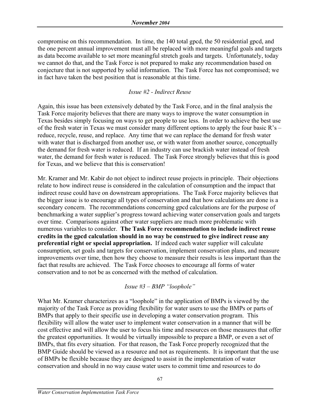compromise on this recommendation. In time, the 140 total gpcd, the 50 residential gpcd, and the one percent annual improvement must all be replaced with more meaningful goals and targets as data become available to set more meaningful stretch goals and targets. Unfortunately, today we cannot do that, and the Task Force is not prepared to make any recommendation based on conjecture that is not supported by solid information. The Task Force has not compromised; we in fact have taken the best position that is reasonable at this time.

#### *Issue #2 - Indirect Reuse*

Again, this issue has been extensively debated by the Task Force, and in the final analysis the Task Force majority believes that there are many ways to improve the water consumption in Texas besides simply focusing on ways to get people to use less. In order to achieve the best use of the fresh water in Texas we must consider many different options to apply the four basic  $R's$ reduce, recycle, reuse, and replace. Any time that we can replace the demand for fresh water with water that is discharged from another use, or with water from another source, conceptually the demand for fresh water is reduced. If an industry can use brackish water instead of fresh water, the demand for fresh water is reduced. The Task Force strongly believes that this is good for Texas, and we believe that this is conservation!

Mr. Kramer and Mr. Kabir do not object to indirect reuse projects in principle. Their objections relate to how indirect reuse is considered in the calculation of consumption and the impact that indirect reuse could have on downstream appropriations. The Task Force majority believes that the bigger issue is to encourage all types of conservation and that how calculations are done is a secondary concern. The recommendations concerning gpcd calculations are for the purpose of benchmarking a water supplier's progress toward achieving water conservation goals and targets over time. Comparisons against other water suppliers are much more problematic with numerous variables to consider. **The Task Force recommendation to include indirect reuse credits in the gpcd calculation should in no way be construed to give indirect reuse any preferential right or special appropriation.** If indeed each water supplier will calculate consumption, set goals and targets for conservation, implement conservation plans, and measure improvements over time, then how they choose to measure their results is less important than the fact that results are achieved. The Task Force chooses to encourage all forms of water conservation and to not be as concerned with the method of calculation.

## *Issue #3 – BMP "loophole"*

What Mr. Kramer characterizes as a "loophole" in the application of BMPs is viewed by the majority of the Task Force as providing flexibility for water users to use the BMPs or parts of BMPs that apply to their specific use in developing a water conservation program. This flexibility will allow the water user to implement water conservation in a manner that will be cost effective and will allow the user to focus his time and resources on those measures that offer the greatest opportunities. It would be virtually impossible to prepare a BMP, or even a set of BMPs, that fits every situation. For that reason, the Task Force properly recognized that the BMP Guide should be viewed as a resource and not as requirements. It is important that the use of BMPs be flexible because they are designed to assist in the implementation of water conservation and should in no way cause water users to commit time and resources to do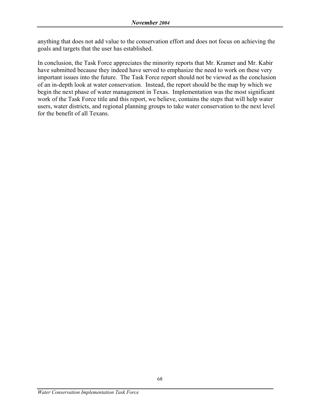anything that does not add value to the conservation effort and does not focus on achieving the goals and targets that the user has established.

In conclusion, the Task Force appreciates the minority reports that Mr. Kramer and Mr. Kabir have submitted because they indeed have served to emphasize the need to work on these very important issues into the future. The Task Force report should not be viewed as the conclusion of an in-depth look at water conservation. Instead, the report should be the map by which we begin the next phase of water management in Texas. Implementation was the most significant work of the Task Force title and this report, we believe, contains the steps that will help water users, water districts, and regional planning groups to take water conservation to the next level for the benefit of all Texans.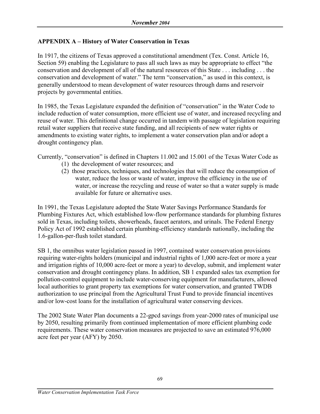## **APPENDIX A – History of Water Conservation in Texas**

In 1917, the citizens of Texas approved a constitutional amendment (Tex. Const. Article 16, Section 59) enabling the Legislature to pass all such laws as may be appropriate to effect "the conservation and development of all of the natural resources of this State . . . including . . . the conservation and development of water." The term "conservation," as used in this context, is generally understood to mean development of water resources through dams and reservoir projects by governmental entities.

In 1985, the Texas Legislature expanded the definition of "conservation" in the Water Code to include reduction of water consumption, more efficient use of water, and increased recycling and reuse of water. This definitional change occurred in tandem with passage of legislation requiring retail water suppliers that receive state funding, and all recipients of new water rights or amendments to existing water rights, to implement a water conservation plan and/or adopt a drought contingency plan.

Currently, "conservation" is defined in Chapters 11.002 and 15.001 of the Texas Water Code as

- (1) the development of water resources; and
- (2) those practices, techniques, and technologies that will reduce the consumption of water, reduce the loss or waste of water, improve the efficiency in the use of water, or increase the recycling and reuse of water so that a water supply is made available for future or alternative uses.

In 1991, the Texas Legislature adopted the State Water Savings Performance Standards for Plumbing Fixtures Act, which established low-flow performance standards for plumbing fixtures sold in Texas, including toilets, showerheads, faucet aerators, and urinals. The Federal Energy Policy Act of 1992 established certain plumbing-efficiency standards nationally, including the 1.6-gallon-per-flush toilet standard.

SB 1, the omnibus water legislation passed in 1997, contained water conservation provisions requiring water-rights holders (municipal and industrial rights of 1,000 acre-feet or more a year and irrigation rights of 10,000 acre-feet or more a year) to develop, submit, and implement water conservation and drought contingency plans. In addition, SB 1 expanded sales tax exemption for pollution-control equipment to include water-conserving equipment for manufacturers, allowed local authorities to grant property tax exemptions for water conservation, and granted TWDB authorization to use principal from the Agricultural Trust Fund to provide financial incentives and/or low-cost loans for the installation of agricultural water conserving devices.

The 2002 State Water Plan documents a 22-gpcd savings from year-2000 rates of municipal use by 2050, resulting primarily from continued implementation of more efficient plumbing code requirements. These water conservation measures are projected to save an estimated 976,000 acre feet per year (AFY) by 2050.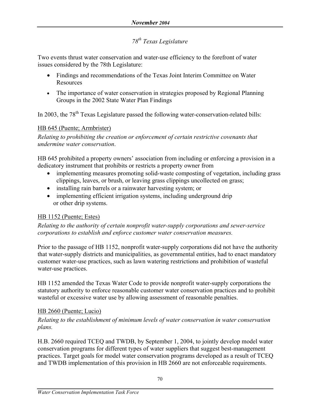# *78th Texas Legislature*

Two events thrust water conservation and water-use efficiency to the forefront of water issues considered by the 78th Legislature:

- Findings and recommendations of the Texas Joint Interim Committee on Water **Resources**
- The importance of water conservation in strategies proposed by Regional Planning Groups in the 2002 State Water Plan Findings

In 2003, the  $78<sup>th</sup>$  Texas Legislature passed the following water-conservation-related bills:

## HB 645 (Puente; Armbrister)

*Relating to prohibiting the creation or enforcement of certain restrictive covenants that undermine water conservation*.

HB 645 prohibited a property owners' association from including or enforcing a provision in a dedicatory instrument that prohibits or restricts a property owner from

- implementing measures promoting solid-waste composting of vegetation, including grass clippings, leaves, or brush, or leaving grass clippings uncollected on grass;
- installing rain barrels or a rainwater harvesting system; or
- implementing efficient irrigation systems, including underground drip or other drip systems.

# HB 1152 (Puente; Estes)

*Relating to the authority of certain nonprofit water-supply corporations and sewer-service corporations to establish and enforce customer water conservation measures.* 

Prior to the passage of HB 1152, nonprofit water-supply corporations did not have the authority that water-supply districts and municipalities, as governmental entities, had to enact mandatory customer water-use practices, such as lawn watering restrictions and prohibition of wasteful water-use practices.

HB 1152 amended the Texas Water Code to provide nonprofit water-supply corporations the statutory authority to enforce reasonable customer water conservation practices and to prohibit wasteful or excessive water use by allowing assessment of reasonable penalties.

## HB 2660 (Puente; Lucio)

*Relating to the establishment of minimum levels of water conservation in water conservation plans.* 

H.B. 2660 required TCEQ and TWDB, by September 1, 2004, to jointly develop model water conservation programs for different types of water suppliers that suggest best-management practices. Target goals for model water conservation programs developed as a result of TCEQ and TWDB implementation of this provision in HB 2660 are not enforceable requirements.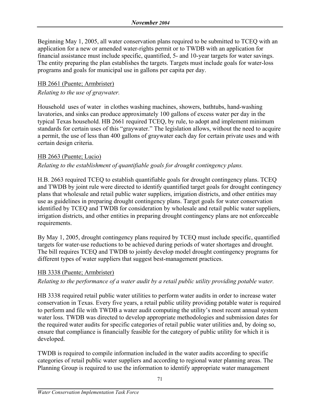Beginning May 1, 2005, all water conservation plans required to be submitted to TCEQ with an application for a new or amended water-rights permit or to TWDB with an application for financial assistance must include specific, quantified, 5- and 10-year targets for water savings. The entity preparing the plan establishes the targets. Targets must include goals for water-loss programs and goals for municipal use in gallons per capita per day.

#### HB 2661 (Puente; Armbrister)

#### *Relating to the use of graywater.*

Household uses of water in clothes washing machines, showers, bathtubs, hand-washing lavatories, and sinks can produce approximately 100 gallons of excess water per day in the typical Texas household. HB 2661 required TCEQ, by rule, to adopt and implement minimum standards for certain uses of this "graywater." The legislation allows, without the need to acquire a permit, the use of less than 400 gallons of graywater each day for certain private uses and with certain design criteria.

#### HB 2663 (Puente; Lucio)

## *Relating to the establishment of quantifiable goals for drought contingency plans.*

H.B. 2663 required TCEQ to establish quantifiable goals for drought contingency plans. TCEQ and TWDB by joint rule were directed to identify quantified target goals for drought contingency plans that wholesale and retail public water suppliers, irrigation districts, and other entities may use as guidelines in preparing drought contingency plans. Target goals for water conservation identified by TCEQ and TWDB for consideration by wholesale and retail public water suppliers, irrigation districts, and other entities in preparing drought contingency plans are not enforceable requirements.

By May 1, 2005, drought contingency plans required by TCEQ must include specific, quantified targets for water-use reductions to be achieved during periods of water shortages and drought. The bill requires TCEQ and TWDB to jointly develop model drought contingency programs for different types of water suppliers that suggest best-management practices.

#### HB 3338 (Puente; Armbrister)

## *Relating to the performance of a water audit by a retail public utility providing potable water.*

HB 3338 required retail public water utilities to perform water audits in order to increase water conservation in Texas. Every five years, a retail public utility providing potable water is required to perform and file with TWDB a water audit computing the utility's most recent annual system water loss. TWDB was directed to develop appropriate methodologies and submission dates for the required water audits for specific categories of retail public water utilities and, by doing so, ensure that compliance is financially feasible for the category of public utility for which it is developed.

TWDB is required to compile information included in the water audits according to specific categories of retail public water suppliers and according to regional water planning areas. The Planning Group is required to use the information to identify appropriate water management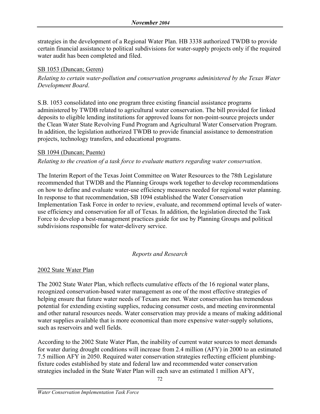strategies in the development of a Regional Water Plan. HB 3338 authorized TWDB to provide certain financial assistance to political subdivisions for water-supply projects only if the required water audit has been completed and filed.

#### SB 1053 (Duncan; Geren)

*Relating to certain water-pollution and conservation programs administered by the Texas Water Development Board*.

S.B. 1053 consolidated into one program three existing financial assistance programs administered by TWDB related to agricultural water conservation. The bill provided for linked deposits to eligible lending institutions for approved loans for non-point-source projects under the Clean Water State Revolving Fund Program and Agricultural Water Conservation Program. In addition, the legislation authorized TWDB to provide financial assistance to demonstration projects, technology transfers, and educational programs.

#### SB 1094 (Duncan; Puente)

*Relating to the creation of a task force to evaluate matters regarding water conservation*.

The Interim Report of the Texas Joint Committee on Water Resources to the 78th Legislature recommended that TWDB and the Planning Groups work together to develop recommendations on how to define and evaluate water-use efficiency measures needed for regional water planning. In response to that recommendation, SB 1094 established the Water Conservation Implementation Task Force in order to review, evaluate, and recommend optimal levels of wateruse efficiency and conservation for all of Texas. In addition, the legislation directed the Task Force to develop a best-management practices guide for use by Planning Groups and political subdivisions responsible for water-delivery service.

#### *Reports and Research*

#### 2002 State Water Plan

The 2002 State Water Plan, which reflects cumulative effects of the 16 regional water plans, recognized conservation-based water management as one of the most effective strategies of helping ensure that future water needs of Texans are met. Water conservation has tremendous potential for extending existing supplies, reducing consumer costs, and meeting environmental and other natural resources needs. Water conservation may provide a means of making additional water supplies available that is more economical than more expensive water-supply solutions, such as reservoirs and well fields.

According to the 2002 State Water Plan, the inability of current water sources to meet demands for water during drought conditions will increase from 2.4 million (AFY) in 2000 to an estimated 7.5 million AFY in 2050. Required water conservation strategies reflecting efficient plumbingfixture codes established by state and federal law and recommended water conservation strategies included in the State Water Plan will each save an estimated 1 million AFY,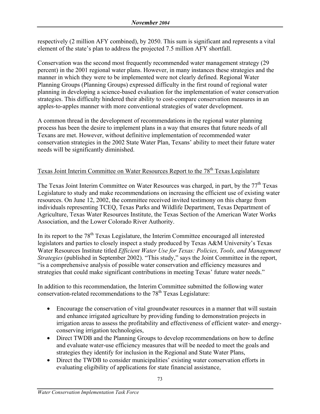respectively (2 million AFY combined), by 2050. This sum is significant and represents a vital element of the state's plan to address the projected 7.5 million AFY shortfall.

Conservation was the second most frequently recommended water management strategy (29 percent) in the 2001 regional water plans. However, in many instances these strategies and the manner in which they were to be implemented were not clearly defined. Regional Water Planning Groups (Planning Groups) expressed difficulty in the first round of regional water planning in developing a science-based evaluation for the implementation of water conservation strategies. This difficulty hindered their ability to cost-compare conservation measures in an apples-to-apples manner with more conventional strategies of water development.

A common thread in the development of recommendations in the regional water planning process has been the desire to implement plans in a way that ensures that future needs of all Texans are met. However, without definitive implementation of recommended water conservation strategies in the 2002 State Water Plan, Texans' ability to meet their future water needs will be significantly diminished.

## Texas Joint Interim Committee on Water Resources Report to the 78<sup>th</sup> Texas Legislature

The Texas Joint Interim Committee on Water Resources was charged, in part, by the 77<sup>th</sup> Texas Legislature to study and make recommendations on increasing the efficient use of existing water resources. On June 12, 2002, the committee received invited testimony on this charge from individuals representing TCEQ, Texas Parks and Wildlife Department, Texas Department of Agriculture, Texas Water Resources Institute, the Texas Section of the American Water Works Association, and the Lower Colorado River Authority.

In its report to the 78<sup>th</sup> Texas Legislature, the Interim Committee encouraged all interested legislators and parties to closely inspect a study produced by Texas A&M University's Texas Water Resources Institute titled *Efficient Water Use for Texas: Policies, Tools, and Management Strategies* (published in September 2002). "This study," says the Joint Committee in the report, "is a comprehensive analysis of possible water conservation and efficiency measures and strategies that could make significant contributions in meeting Texas' future water needs."

In addition to this recommendation, the Interim Committee submitted the following water conservation-related recommendations to the 78<sup>th</sup> Texas Legislature:

- Encourage the conservation of vital groundwater resources in a manner that will sustain and enhance irrigated agriculture by providing funding to demonstration projects in irrigation areas to assess the profitability and effectiveness of efficient water- and energyconserving irrigation technologies,
- Direct TWDB and the Planning Groups to develop recommendations on how to define and evaluate water-use efficiency measures that will be needed to meet the goals and strategies they identify for inclusion in the Regional and State Water Plans,
- Direct the TWDB to consider municipalities' existing water conservation efforts in evaluating eligibility of applications for state financial assistance,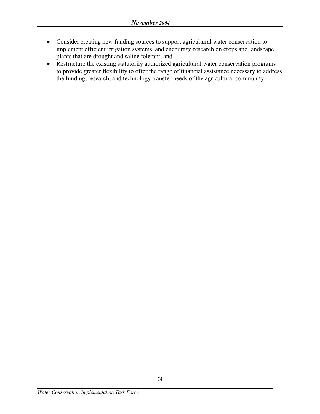- Consider creating new funding sources to support agricultural water conservation to implement efficient irrigation systems, and encourage research on crops and landscape plants that are drought and saline tolerant, and
- Restructure the existing statutorily authorized agricultural water conservation programs to provide greater flexibility to offer the range of financial assistance necessary to address the funding, research, and technology transfer needs of the agricultural community.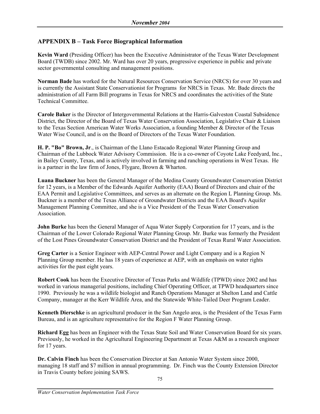## **APPENDIX B – Task Force Biographical Information**

**Kevin Ward** (Presiding Officer) has been the Executive Administrator of the Texas Water Development Board (TWDB) since 2002. Mr. Ward has over 20 years, progressive experience in public and private sector governmental consulting and management positions.

**Norman Bade** has worked for the Natural Resources Conservation Service (NRCS) for over 30 years and is currently the Assistant State Conservationist for Programs for NRCS in Texas. Mr. Bade directs the administration of all Farm Bill programs in Texas for NRCS and coordinates the activities of the State Technical Committee.

**Carole Baker** is the Director of Intergovernmental Relations at the Harris-Galveston Coastal Subsidence District, the Director of the Board of Texas Water Conservation Association, Legislative Chair & Liaison to the Texas Section American Water Works Association, a founding Member & Director of the Texas Water Wise Council, and is on the Board of Directors of the Texas Water Foundation.

**H. P. "Bo" Brown, Jr**., is Chairman of the Llano Estacado Regional Water Planning Group and Chairman of the Lubbock Water Advisory Commission. He is a co-owner of Coyote Lake Feedyard, Inc., in Bailey County, Texas, and is actively involved in farming and ranching operations in West Texas. He is a partner in the law firm of Jones, Flygare, Brown & Wharton.

**Luana Buckner** has been the General Manager of the Medina County Groundwater Conservation District for 12 years, is a Member of the Edwards Aquifer Authority (EAA) Board of Directors and chair of the EAA Permit and Legislative Committees, and serves as an alternate on the Region L Planning Group. Ms. Buckner is a member of the Texas Alliance of Groundwater Districts and the EAA Board's Aquifer Management Planning Committee, and she is a Vice President of the Texas Water Conservation Association.

**John Burke** has been the General Manager of Aqua Water Supply Corporation for 17 years, and is the Chairman of the Lower Colorado Regional Water Planning Group. Mr. Burke was formerly the President of the Lost Pines Groundwater Conservation District and the President of Texas Rural Water Association.

**Greg Carter** is a Senior Engineer with AEP-Central Power and Light Company and is a Region N Planning Group member. He has 18 years of experience at AEP, with an emphasis on water rights activities for the past eight years.

**Robert Cook** has been the Executive Director of Texas Parks and Wildlife (TPWD) since 2002 and has worked in various managerial positions, including Chief Operating Officer, at TPWD headquarters since 1990. Previously he was a wildlife biologist and Ranch Operations Manager at Shelton Land and Cattle Company, manager at the Kerr Wildlife Area, and the Statewide White-Tailed Deer Program Leader.

**Kenneth Dierschke** is an agricultural producer in the San Angelo area, is the President of the Texas Farm Bureau, and is an agriculture representative for the Region F Water Planning Group.

**Richard Egg** has been an Engineer with the Texas State Soil and Water Conservation Board for six years. Previously, he worked in the Agricultural Engineering Department at Texas A&M as a research engineer for 17 years.

**Dr. Calvin Finch** has been the Conservation Director at San Antonio Water System since 2000, managing 18 staff and \$7 million in annual programming. Dr. Finch was the County Extension Director in Travis County before joining SAWS.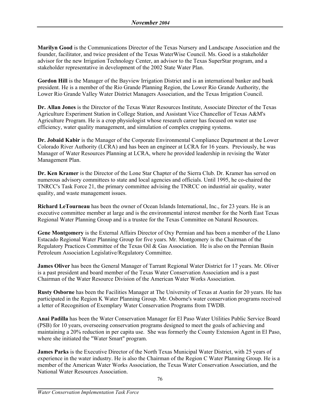**Marilyn Good** is the Communications Director of the Texas Nursery and Landscape Association and the founder, facilitator, and twice president of the Texas WaterWise Council. Ms. Good is a stakeholder advisor for the new Irrigation Technology Center, an advisor to the Texas SuperStar program, and a stakeholder representative in development of the 2002 State Water Plan.

**Gordon Hill** is the Manager of the Bayview Irrigation District and is an international banker and bank president. He is a member of the Rio Grande Planning Region, the Lower Rio Grande Authority, the Lower Rio Grande Valley Water District Managers Association, and the Texas Irrigation Council.

**Dr. Allan Jones** is the Director of the Texas Water Resources Institute, Associate Director of the Texas Agriculture Experiment Station in College Station, and Assistant Vice Chancellor of Texas A&M's Agriculture Program. He is a crop physiologist whose research career has focused on water use efficiency, water quality management, and simulation of complex cropping systems.

**Dr. Jobaid Kabir** is the Manager of the Corporate Environmental Compliance Department at the Lower Colorado River Authority (LCRA) and has been an engineer at LCRA for 16 years. Previously, he was Manager of Water Resources Planning at LCRA, where he provided leadership in revising the Water Management Plan.

**Dr. Ken Kramer** is the Director of the Lone Star Chapter of the Sierra Club. Dr. Kramer has served on numerous advisory committees to state and local agencies and officials. Until 1995, he co-chaired the TNRCC's Task Force 21, the primary committee advising the TNRCC on industrial air quality, water quality, and waste management issues.

**Richard LeTourneau** has been the owner of Ocean Islands International, Inc., for 23 years. He is an executive committee member at large and is the environmental interest member for the North East Texas Regional Water Planning Group and is a trustee for the Texas Committee on Natural Resources.

**Gene Montgomery** is the External Affairs Director of Oxy Permian and has been a member of the Llano Estacado Regional Water Planning Group for five years. Mr. Montgomery is the Chairman of the Regulatory Practices Committee of the Texas Oil & Gas Association. He is also on the Permian Basin Petroleum Association Legislative/Regulatory Committee.

**James Oliver** has been the General Manager of Tarrant Regional Water District for 17 years. Mr. Oliver is a past president and board member of the Texas Water Conservation Association and is a past Chairman of the Water Resource Division of the American Water Works Association.

**Rusty Osborne** has been the Facilities Manager at The University of Texas at Austin for 20 years. He has participated in the Region K Water Planning Group. Mr. Osborne's water conservation programs received a letter of Recognition of Exemplary Water Conservation Programs from TWDB.

**Anai Padilla** has been the Water Conservation Manager for El Paso Water Utilities Public Service Board (PSB) for 10 years, overseeing conservation programs designed to meet the goals of achieving and maintaining a 20% reduction in per capita use. She was formerly the County Extension Agent in El Paso, where she initiated the "Water Smart" program.

**James Parks** is the Executive Director of the North Texas Municipal Water District, with 25 years of experience in the water industry. He is also the Chairman of the Region C Water Planning Group. He is a member of the American Water Works Association, the Texas Water Conservation Association, and the National Water Resources Association.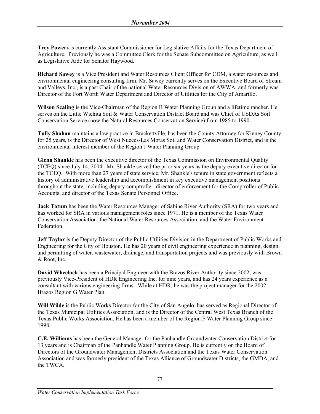**Trey Powers** is currently Assistant Commissioner for Legislative Affairs for the Texas Department of Agriculture. Previously he was a Committee Clerk for the Senate Subcommittee on Agriculture, as well as Legislative Aide for Senator Haywood.

**Richard Sawey** is a Vice President and Water Resources Client Officer for CDM, a water resources and environmental engineering consulting firm. Mr. Sawey currently serves on the Executive Board of Stream and Valleys, Inc., is a past Chair of the national Water Resources Division of AWWA, and formerly was Director of the Fort Worth Water Department and Director of Utilities for the City of Amarillo.

**Wilson Scaling** is the Vice-Chairman of the Region B Water Planning Group and a lifetime rancher. He serves on the Little Wichita Soil & Water Conservation District Board and was Chief of USDAs Soil Conservation Service (now the Natural Resources Conservation Service) from 1985 to 1990.

**Tully Shahan** maintains a law practice in Brackettville, has been the County Attorney for Kinney County for 25 years, is the Director of West Nueces-Las Moras Soil and Water Conservation District, and is the environmental interest member of the Region J Water Planning Group.

**Glenn Shankle** has been the executive director of the Texas Commission on Environmental Quality (TCEQ) since July 14, 2004. Mr. Shankle served the prior six years as the deputy executive director for the TCEQ. With more than 27 years of state service, Mr. Shankle's tenure in state government reflects a history of administrative leadership and accomplishment in key executive management positions throughout the state, including deputy comptroller, director of enforcement for the Comptroller of Public Accounts, and director of the Texas Senate Personnel Office.

**Jack Tatum** has been the Water Resources Manager of Sabine River Authority (SRA) for two years and has worked for SRA in various management roles since 1971. He is a member of the Texas Water Conservation Association, the National Water Resources Association, and the Water Environment Federation.

**Jeff Taylor** is the Deputy Director of the Public Utilities Division in the Department of Public Works and Engineering for the City of Houston. He has 20 years of civil engineering experience in planning, design, and permitting of water, wastewater, drainage, and transportation projects and was previously with Brown & Root, Inc.

**David Wheelock** has been a Principal Engineer with the Brazos River Authority since 2002, was previously Vice-President of HDR Engineering Inc. for nine years, and has 24 years experience as a consultant with various engineering firms. While at HDR, he was the project manager for the 2002 Brazos Region G Water Plan.

**Will Wilde** is the Public Works Director for the City of San Angelo, has served as Regional Director of the Texas Municipal Utilities Association, and is the Director of the Central West Texas Branch of the Texas Public Works Association. He has been a member of the Region F Water Planning Group since 1998.

**C.E. Williams** has been the General Manager for the Panhandle Groundwater Conservation District for 13 years and is Chairman of the Panhandle Water Planning Group. He is currently on the Board of Directors of the Groundwater Management Districts Association and the Texas Water Conservation Association and was formerly president of the Texas Alliance of Groundwater Districts, the GMDA, and the TWCA.